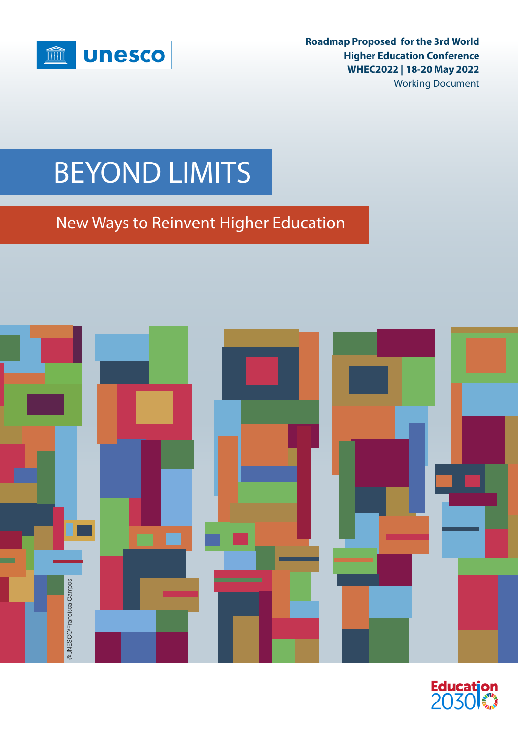

**Roadmap Proposed for the 3rd World Higher Education Conference WHEC2022 | 18-20 May 2022** Working Document

## BEYOND LIMITS

New Ways to Reinvent Higher Education



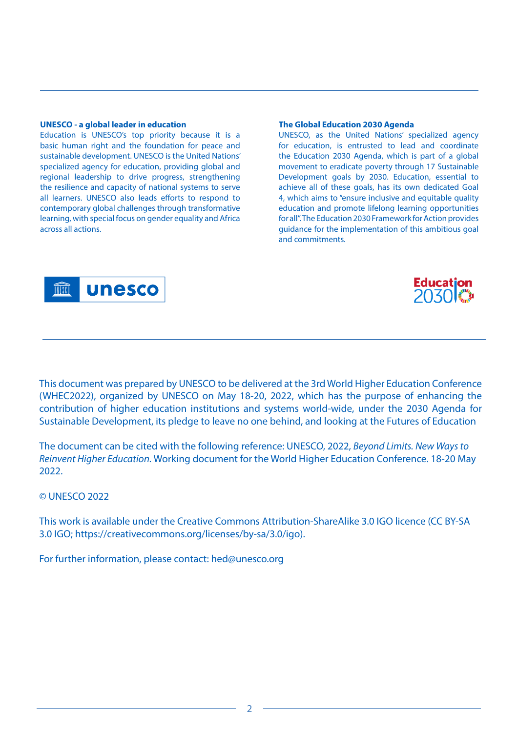#### **UNESCO - a global leader in education**

Education is UNESCO's top priority because it is a basic human right and the foundation for peace and sustainable development. UNESCO is the United Nations' specialized agency for education, providing global and regional leadership to drive progress, strengthening the resilience and capacity of national systems to serve all learners. UNESCO also leads efforts to respond to contemporary global challenges through transformative learning, with special focus on gender equality and Africa across all actions.

#### **The Global Education 2030 Agenda**

UNESCO, as the United Nations' specialized agency for education, is entrusted to lead and coordinate the Education 2030 Agenda, which is part of a global movement to eradicate poverty through 17 Sustainable Development goals by 2030. Education, essential to achieve all of these goals, has its own dedicated Goal 4, which aims to "ensure inclusive and equitable quality education and promote lifelong learning opportunities for all". The Education 2030 Framework for Action provides guidance for the implementation of this ambitious goal and commitments.





This document was prepared by UNESCO to be delivered at the 3rd World Higher Education Conference (WHEC2022), organized by UNESCO on May 18-20, 2022, which has the purpose of enhancing the contribution of higher education institutions and systems world-wide, under the 2030 Agenda for Sustainable Development, its pledge to leave no one behind, and looking at the Futures of Education

The document can be cited with the following reference: UNESCO, 2022, *Beyond Limits. New Ways to Reinvent Higher Education.* Working document for the World Higher Education Conference. 18-20 May 2022.

© UNESCO 2022

This work is available under the Creative Commons Attribution-ShareAlike 3.0 IGO licence (CC BY-SA 3.0 IGO; https://creativecommons.org/licenses/by-sa/3.0/igo).

For further information, please contact: hed@unesco.org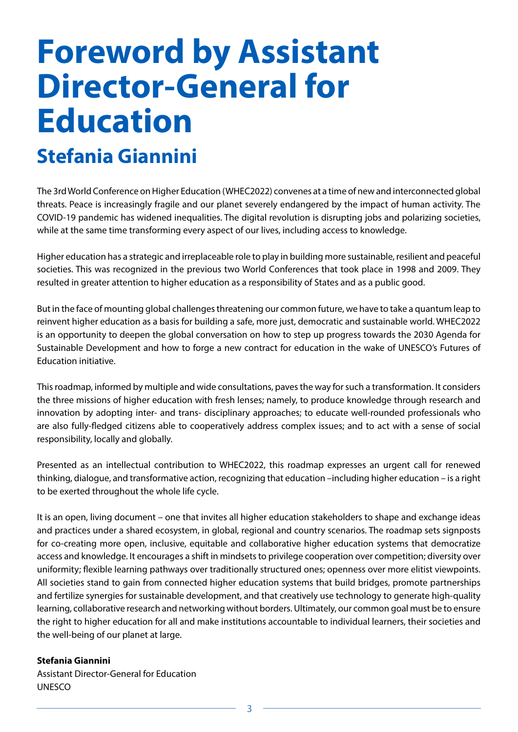## <span id="page-2-0"></span>**Foreword by Assistant Director-General for Education Stefania Giannini**

The 3rd World Conference on Higher Education (WHEC2022) convenes at a time of new and interconnected global threats. Peace is increasingly fragile and our planet severely endangered by the impact of human activity. The COVID-19 pandemic has widened inequalities. The digital revolution is disrupting jobs and polarizing societies, while at the same time transforming every aspect of our lives, including access to knowledge.

Higher education has a strategic and irreplaceable role to play in building more sustainable, resilient and peaceful societies. This was recognized in the previous two World Conferences that took place in 1998 and 2009. They resulted in greater attention to higher education as a responsibility of States and as a public good.

But in the face of mounting global challenges threatening our common future, we have to take a quantum leap to reinvent higher education as a basis for building a safe, more just, democratic and sustainable world. WHEC2022 is an opportunity to deepen the global conversation on how to step up progress towards the 2030 Agenda for Sustainable Development and how to forge a new contract for education in the wake of UNESCO's Futures of Education initiative.

This roadmap, informed by multiple and wide consultations, paves the way for such a transformation. It considers the three missions of higher education with fresh lenses; namely, to produce knowledge through research and innovation by adopting inter- and trans- disciplinary approaches; to educate well-rounded professionals who are also fully-fledged citizens able to cooperatively address complex issues; and to act with a sense of social responsibility, locally and globally.

Presented as an intellectual contribution to WHEC2022, this roadmap expresses an urgent call for renewed thinking, dialogue, and transformative action, recognizing that education –including higher education – is a right to be exerted throughout the whole life cycle.

It is an open, living document – one that invites all higher education stakeholders to shape and exchange ideas and practices under a shared ecosystem, in global, regional and country scenarios. The roadmap sets signposts for co-creating more open, inclusive, equitable and collaborative higher education systems that democratize access and knowledge. It encourages a shift in mindsets to privilege cooperation over competition; diversity over uniformity; flexible learning pathways over traditionally structured ones; openness over more elitist viewpoints. All societies stand to gain from connected higher education systems that build bridges, promote partnerships and fertilize synergies for sustainable development, and that creatively use technology to generate high-quality learning, collaborative research and networking without borders. Ultimately, our common goal must be to ensure the right to higher education for all and make institutions accountable to individual learners, their societies and the well-being of our planet at large.

#### **Stefania Giannini**

Assistant Director-General for Education UNESCO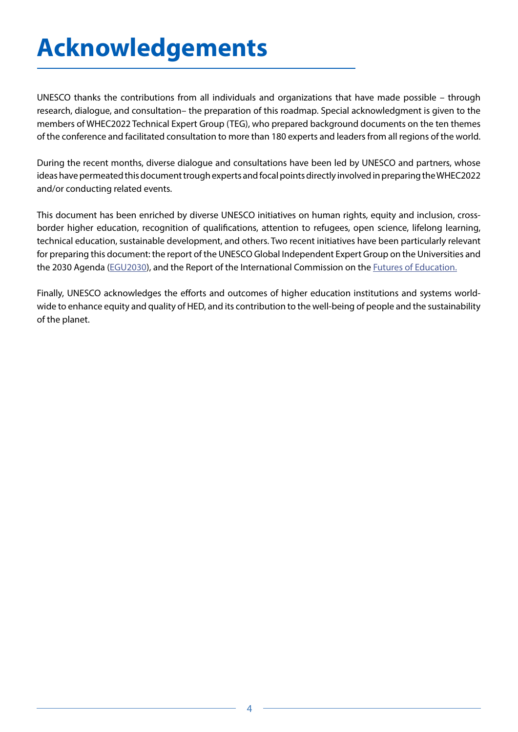## <span id="page-3-0"></span>**Acknowledgements**

UNESCO thanks the contributions from all individuals and organizations that have made possible – through research, dialogue, and consultation– the preparation of this roadmap. Special acknowledgment is given to the members of WHEC2022 Technical Expert Group (TEG), who prepared background documents on the ten themes of the conference and facilitated consultation to more than 180 experts and leaders from all regions of the world.

During the recent months, diverse dialogue and consultations have been led by UNESCO and partners, whose ideas have permeated this document trough experts and focal points directly involved in preparing the WHEC2022 and/or conducting related events.

This document has been enriched by diverse UNESCO initiatives on human rights, equity and inclusion, crossborder higher education, recognition of qualifications, attention to refugees, open science, lifelong learning, technical education, sustainable development, and others. Two recent initiatives have been particularly relevant for preparing this document: the report of the UNESCO Global Independent Expert Group on the Universities and the 2030 Agenda [\(EGU2030](https://unesdoc.unesco.org/ark:/48223/pf0000380519)), and the Report of the International Commission on the *Futures of Education*.

Finally, UNESCO acknowledges the efforts and outcomes of higher education institutions and systems worldwide to enhance equity and quality of HED, and its contribution to the well-being of people and the sustainability of the planet.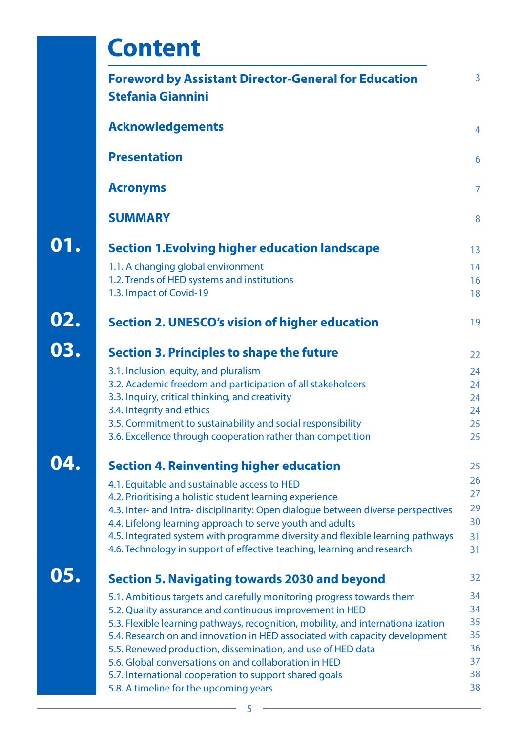|     | <b>Content</b>                                                                                                                                            |                |
|-----|-----------------------------------------------------------------------------------------------------------------------------------------------------------|----------------|
|     | <b>Foreword by Assistant Director-General for Education</b><br><b>Stefania Giannini</b>                                                                   | 3              |
|     | <b>Acknowledgements</b>                                                                                                                                   | $\overline{4}$ |
|     | <b>Presentation</b>                                                                                                                                       | 6              |
|     | <b>Acronyms</b>                                                                                                                                           | $\overline{7}$ |
|     | <b>SUMMARY</b>                                                                                                                                            | 8              |
| 01. | <b>Section 1. Evolving higher education landscape</b>                                                                                                     | 13             |
|     | 1.1. A changing global environment                                                                                                                        | 14             |
|     | 1.2. Trends of HED systems and institutions                                                                                                               | 16             |
|     | 1.3. Impact of Covid-19                                                                                                                                   | 18             |
| 02. | <b>Section 2. UNESCO's vision of higher education</b>                                                                                                     | 19             |
| 03. | <b>Section 3. Principles to shape the future</b>                                                                                                          | 22             |
|     | 3.1. Inclusion, equity, and pluralism                                                                                                                     | 24             |
|     | 3.2. Academic freedom and participation of all stakeholders                                                                                               | 24             |
|     | 3.3. Inquiry, critical thinking, and creativity                                                                                                           | 24             |
|     | 3.4. Integrity and ethics                                                                                                                                 | 24             |
|     | 3.5. Commitment to sustainability and social responsibility                                                                                               | 25             |
|     | 3.6. Excellence through cooperation rather than competition                                                                                               | 25             |
|     | <b>Section 4. Reinventing higher education</b>                                                                                                            | 25             |
|     | 4.1. Equitable and sustainable access to HED                                                                                                              | 26             |
|     | 4.2. Prioritising a holistic student learning experience                                                                                                  | 27             |
|     | 4.3. Inter- and Intra- disciplinarity: Open dialogue between diverse perspectives                                                                         | 29             |
|     | 4.4. Lifelong learning approach to serve youth and adults                                                                                                 | 30             |
|     | 4.5. Integrated system with programme diversity and flexible learning pathways<br>4.6. Technology in support of effective teaching, learning and research | 31<br>31       |
| 05. | <b>Section 5. Navigating towards 2030 and beyond</b>                                                                                                      | 32             |
|     |                                                                                                                                                           | 34             |
|     | 5.1. Ambitious targets and carefully monitoring progress towards them<br>5.2. Quality assurance and continuous improvement in HED                         | 34             |
|     | 5.3. Flexible learning pathways, recognition, mobility, and internationalization                                                                          | 35             |
|     | 5.4. Research on and innovation in HED associated with capacity development                                                                               | 35             |
|     | 5.5. Renewed production, dissemination, and use of HED data                                                                                               | 36             |
|     | 5.6. Global conversations on and collaboration in HED                                                                                                     | 37             |
|     | 5.7. International cooperation to support shared goals                                                                                                    | 38             |
|     | 5.8. A timeline for the upcoming years                                                                                                                    | 38             |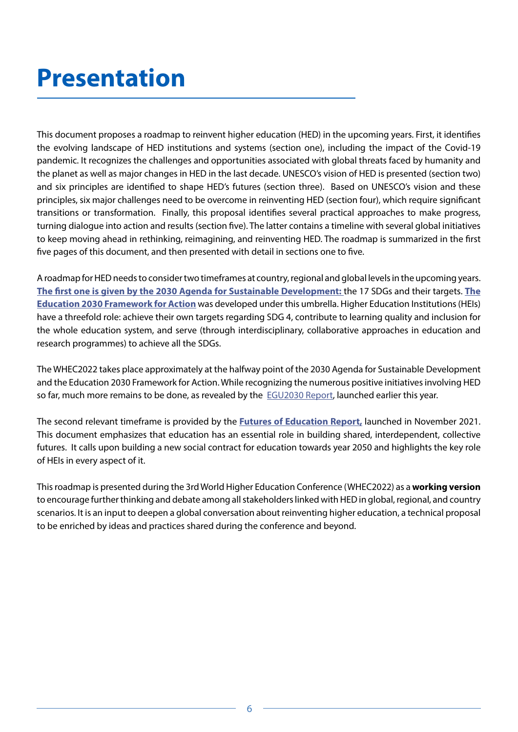## <span id="page-5-0"></span>**Presentation**

This document proposes a roadmap to reinvent higher education (HED) in the upcoming years. First, it identifies the evolving landscape of HED institutions and systems (section one), including the impact of the Covid-19 pandemic. It recognizes the challenges and opportunities associated with global threats faced by humanity and the planet as well as major changes in HED in the last decade. UNESCO's vision of HED is presented (section two) and six principles are identified to shape HED's futures (section three). Based on UNESCO's vision and these principles, six major challenges need to be overcome in reinventing HED (section four), which require significant transitions or transformation. Finally, this proposal identifies several practical approaches to make progress, turning dialogue into action and results (section five). The latter contains a timeline with several global initiatives to keep moving ahead in rethinking, reimagining, and reinventing HED. The roadmap is summarized in the first five pages of this document, and then presented with detail in sections one to five.

A roadmap for HED needs to consider two timeframes at country, regional and global levels in the upcoming years. **[The first one is given by the 2030 Agenda for Sustainable Development:](https://www.un.org/ga/search/view_doc.asp?symbol=A/RES/70/1&Lang=E)** the 17 SDGs and their targets. **[The](https://www.sdg4education2030.org/education-2030-framework-action-unesco-2015)  [Education 2030 Framework for Action](https://www.sdg4education2030.org/education-2030-framework-action-unesco-2015)** was developed under this umbrella. Higher Education Institutions (HEIs) have a threefold role: achieve their own targets regarding SDG 4, contribute to learning quality and inclusion for the whole education system, and serve (through interdisciplinary, collaborative approaches in education and research programmes) to achieve all the SDGs.

The WHEC2022 takes place approximately at the halfway point of the 2030 Agenda for Sustainable Development and the Education 2030 Framework for Action. While recognizing the numerous positive initiatives involving HED so far, much more remains to be done, as revealed by the **[EGU2030 Report,](https://unesdoc.unesco.org/ark:/48223/pf0000380519) launched earlier this year**.

The second relevant timeframe is provided by the **[Futures of Education Report,](https://en.unesco.org/futuresofeducation/)** launched in November 2021. This document emphasizes that education has an essential role in building shared, interdependent, collective futures. It calls upon building a new social contract for education towards year 2050 and highlights the key role of HEIs in every aspect of it.

This roadmap is presented during the 3rd World Higher Education Conference (WHEC2022) as a **working version**  to encourage further thinking and debate among all stakeholders linked with HED in global, regional, and country scenarios. It is an input to deepen a global conversation about reinventing higher education, a technical proposal to be enriched by ideas and practices shared during the conference and beyond.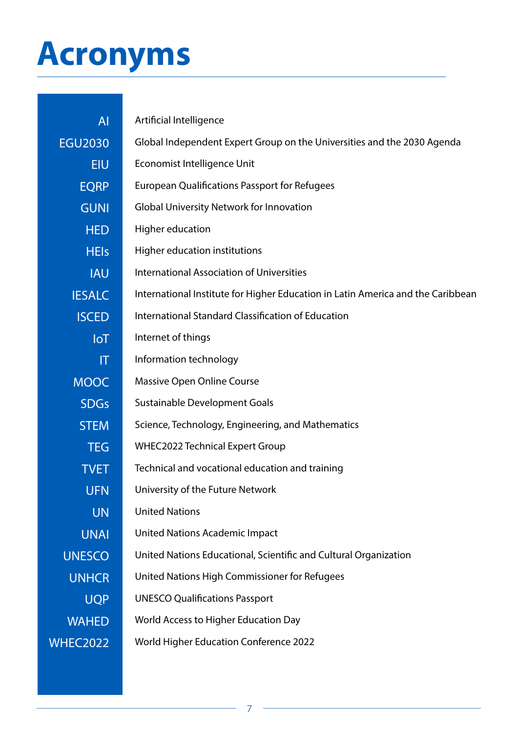# <span id="page-6-0"></span>**Acronyms**

| <b>AI</b>              | Artificial Intelligence                                                         |
|------------------------|---------------------------------------------------------------------------------|
| <b>EGU2030</b>         | Global Independent Expert Group on the Universities and the 2030 Agenda         |
| <b>EIU</b>             | Economist Intelligence Unit                                                     |
| <b>EQRP</b>            | <b>European Qualifications Passport for Refugees</b>                            |
| <b>GUNI</b>            | <b>Global University Network for Innovation</b>                                 |
| <b>HED</b>             | Higher education                                                                |
| <b>HEIs</b>            | Higher education institutions                                                   |
| <b>IAU</b>             | <b>International Association of Universities</b>                                |
| <b>IESALC</b>          | International Institute for Higher Education in Latin America and the Caribbean |
| <b>ISCED</b>           | International Standard Classification of Education                              |
| IoT                    | Internet of things                                                              |
| $\mathsf{I}\mathsf{T}$ | Information technology                                                          |
| <b>MOOC</b>            | Massive Open Online Course                                                      |
| <b>SDGs</b>            | Sustainable Development Goals                                                   |
| <b>STEM</b>            | Science, Technology, Engineering, and Mathematics                               |
| <b>TEG</b>             | <b>WHEC2022 Technical Expert Group</b>                                          |
| <b>TVET</b>            | Technical and vocational education and training                                 |
| <b>UFN</b>             | University of the Future Network                                                |
| <b>UN</b>              | <b>United Nations</b>                                                           |
| <b>UNAI</b>            | <b>United Nations Academic Impact</b>                                           |
| <b>UNESCO</b>          | United Nations Educational, Scientific and Cultural Organization                |
| <b>UNHCR</b>           | United Nations High Commissioner for Refugees                                   |
| <b>UQP</b>             | <b>UNESCO Qualifications Passport</b>                                           |
| <b>WAHED</b>           | World Access to Higher Education Day                                            |
| <b>WHEC2022</b>        | <b>World Higher Education Conference 2022</b>                                   |
|                        |                                                                                 |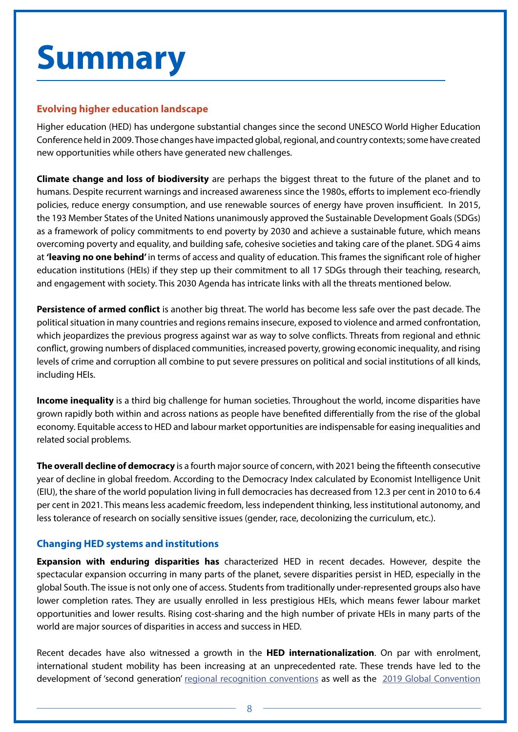# <span id="page-7-0"></span>**Summary**

### **Evolving higher education landscape**

Higher education (HED) has undergone substantial changes since the second UNESCO World Higher Education Conference held in 2009. Those changes have impacted global, regional, and country contexts; some have created new opportunities while others have generated new challenges.

**Climate change and loss of biodiversity** are perhaps the biggest threat to the future of the planet and to humans. Despite recurrent warnings and increased awareness since the 1980s, efforts to implement eco-friendly policies, reduce energy consumption, and use renewable sources of energy have proven insufficient. In 2015, the 193 Member States of the United Nations unanimously approved the [Sustainable Development Goals \(](https://sdgs.un.org/goals)SDGs) as a framework of policy commitments to end poverty by 2030 and achieve a sustainable future, which means overcoming poverty and equality, and building safe, cohesive societies and taking care of the planet. SDG 4 aims at **'leaving no one behind'** in terms of access and quality of education. This frames the significant role of higher education institutions (HEIs) if they step up their commitment to all 17 SDGs through their teaching, research, and engagement with society. This 2030 Agenda has intricate links with all the threats mentioned below.

**Persistence of armed conflict** is another big threat. The world has become less safe over the past decade. The political situation in many countries and regions remains insecure, exposed to violence and armed confrontation, which jeopardizes the previous progress against war as way to solve conflicts. Threats from regional and ethnic conflict, growing numbers of displaced communities, increased poverty, growing economic inequality, and rising levels of crime and corruption all combine to put severe pressures on political and social institutions of all kinds, including HEIs.

**Income inequality** is a third big challenge for human societies. Throughout the world, income disparities have grown rapidly both within and across nations as people have benefited differentially from the rise of the global economy. Equitable access to HED and labour market opportunities are indispensable for easing inequalities and related social problems.

**The overall decline of democracy** is a fourth major source of concern, with 2021 being the fifteenth consecutive year of decline in global freedom. According to the [Democracy Index](https://www.eiu.com/n/campaigns/democracy-index-2021/?utm_source=economist-daily-chart&utm_medium=anchor&utm_campaign=democracy-index-2020&utm_content=anchor-1) calculated by Economist Intelligence Unit (EIU), the share of the world population living in full democracies has decreased from 12.3 per cent in 2010 to 6.4 per cent in 2021. This means less academic freedom, less independent thinking, less institutional autonomy, and less tolerance of research on socially sensitive issues (gender, race, decolonizing the curriculum, etc.).

### **Changing HED systems and institutions**

**Expansion with enduring disparities has** characterized HED in recent decades. However, despite the spectacular expansion occurring in many parts of the planet, severe disparities persist in HED, especially in the global South. The issue is not only one of access. Students from traditionally under-represented groups also have lower completion rates. They are usually enrolled in less prestigious HEIs, which means fewer labour market opportunities and lower results. Rising cost-sharing and the high number of private HEIs in many parts of the world are major sources of disparities in access and success in HED.

Recent decades have also witnessed a growth in the **HED internationalization**. On par with enrolment, international student mobility has been increasing at an unprecedented rate. These trends have led to the development of 'second generation' [regional recognition conventions](https://www.unesco.org/en/education/higher-education/conventions) as well as the [2019 Global Convention](https://www.unesco.org/en/education/higher-education/global-convention)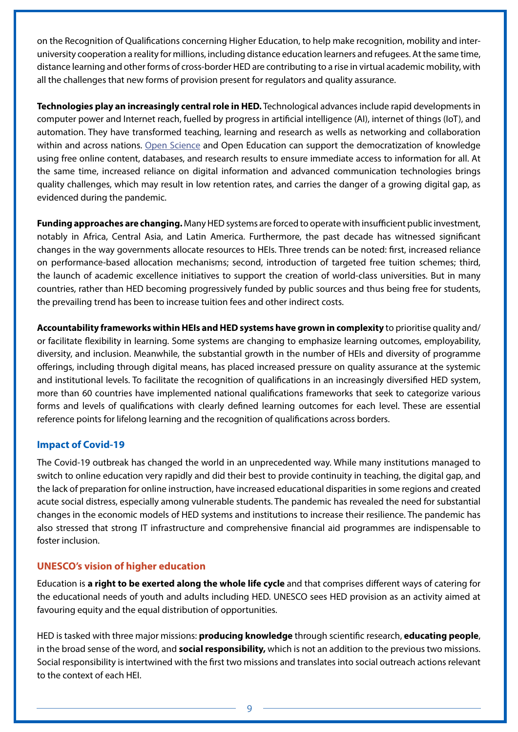on the Recognition of Qualifications concerning Higher Education, to help make recognition, mobility and interuniversity cooperation a reality for millions, including distance education learners and refugees. At the same time, distance learning and other forms of cross-border HED are contributing to a rise in virtual academic mobility, with all the challenges that new forms of provision present for regulators and quality assurance.

**Technologies play an increasingly central role in HED.** Technological advances include rapid developments in computer power and Internet reach, fuelled by progress in artificial intelligence (AI), internet of things (IoT), and automation. They have transformed teaching, learning and research as wells as networking and collaboration within and across nations. [Open Science](https://en.unesco.org/science-sustainable-future/open-science/recommendation) and Open Education can support the democratization of knowledge using free online content, databases, and research results to ensure immediate access to information for all. At the same time, increased reliance on digital information and advanced communication technologies brings quality challenges, which may result in low retention rates, and carries the danger of a growing digital gap, as evidenced during the pandemic.

**Funding approaches are changing.** Many HED systems are forced to operate with insufficient public investment, notably in Africa, Central Asia, and Latin America. Furthermore, the past decade has witnessed significant changes in the way governments allocate resources to HEIs. Three trends can be noted: first, increased reliance on performance-based allocation mechanisms; second, introduction of targeted free tuition schemes; third, the launch of academic excellence initiatives to support the creation of world-class universities. But in many countries, rather than HED becoming progressively funded by public sources and thus being free for students, the prevailing trend has been to increase tuition fees and other indirect costs.

**Accountability frameworks within HEIs and HED systems have grown in complexity** to prioritise quality and/ or facilitate flexibility in learning. Some systems are changing to emphasize learning outcomes, employability, diversity, and inclusion. Meanwhile, the substantial growth in the number of HEIs and diversity of programme offerings, including through digital means, has placed increased pressure on quality assurance at the systemic and institutional levels. To facilitate the recognition of qualifications in an increasingly diversified HED system, more than 60 countries have implemented national qualifications frameworks that seek to categorize various forms and levels of qualifications with clearly defined learning outcomes for each level. These are essential reference points for lifelong learning and the recognition of qualifications across borders.

### **Impact of Covid-19**

The Covid-19 outbreak has changed the world in an unprecedented way. While many institutions managed to switch to online education very rapidly and did their best to provide continuity in teaching, the digital gap, and the lack of preparation for online instruction, have increased educational disparities in some regions and created acute social distress, especially among vulnerable students. The pandemic has revealed the need for substantial changes in the economic models of HED systems and institutions to increase their resilience. The pandemic has also stressed that strong IT infrastructure and comprehensive financial aid programmes are indispensable to foster inclusion.

### **UNESCO's vision of higher education**

Education is **a right to be exerted along the whole life cycle** and that comprises different ways of catering for the educational needs of youth and adults including HED. UNESCO sees HED provision as an activity aimed at favouring equity and the equal distribution of opportunities.

HED is tasked with three major missions: **producing knowledge** through scientific research, **educating people**, in the broad sense of the word, and **social responsibility,** which is not an addition to the previous two missions. Social responsibility is intertwined with the first two missions and translates into social outreach actions relevant to the context of each HEI.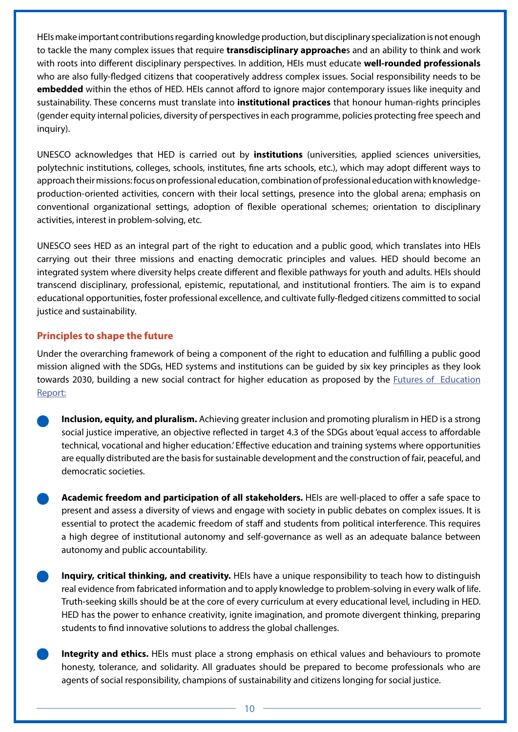HEIs make important contributions regarding knowledge production, but disciplinary specialization is not enough to tackle the many complex issues that require **transdisciplinary approache**s and an ability to think and work with roots into different disciplinary perspectives. In addition, HEIs must educate **well-rounded professionals**  who are also fully-fledged citizens that cooperatively address complex issues. Social responsibility needs to be **embedded** within the ethos of HED. HEIs cannot afford to ignore major contemporary issues like inequity and sustainability. These concerns must translate into **institutional practices** that honour human-rights principles (gender equity internal policies, diversity of perspectives in each programme, policies protecting free speech and inquiry).

UNESCO acknowledges that HED is carried out by **institutions** (universities, applied sciences universities, polytechnic institutions, colleges, schools, institutes, fine arts schools, etc.), which may adopt different ways to approach their missions: focus on professional education, combination of professional education with knowledgeproduction-oriented activities, concern with their local settings, presence into the global arena; emphasis on conventional organizational settings, adoption of flexible operational schemes; orientation to disciplinary activities, interest in problem-solving, etc.

UNESCO sees HED as an integral part of the right to education and a public good, which translates into HEIs carrying out their three missions and enacting democratic principles and values. HED should become an integrated system where diversity helps create different and flexible pathways for youth and adults. HEIs should transcend disciplinary, professional, epistemic, reputational, and institutional frontiers. The aim is to expand educational opportunities, foster professional excellence, and cultivate fully-fledged citizens committed to social justice and sustainability.

### **Principles to shape the future**

Under the overarching framework of being a component of the right to education and fulfilling a public good mission aligned with the SDGs, HED systems and institutions can be guided by six key principles as they look towards 2030, building a new social contract for higher education as proposed by the [Futures of Education](https://en.unesco.org/futuresofeducation/) [Report:](https://en.unesco.org/futuresofeducation/)

- **Inclusion, equity, and pluralism.** Achieving greater inclusion and promoting pluralism in HED is a strong social justice imperative, an objective reflected in target 4.3 of the SDGs about 'equal access to affordable technical, vocational and higher education.' Effective education and training systems where opportunities are equally distributed are the basis for sustainable development and the construction of fair, peaceful, and democratic societies.
- **Academic freedom and participation of all stakeholders.** HEIs are well-placed to offer a safe space to present and assess a diversity of views and engage with society in public debates on complex issues. It is essential to protect the academic freedom of staff and students from political interference. This requires a high degree of institutional autonomy and self-governance as well as an adequate balance between autonomy and public accountability.
- **Inquiry, critical thinking, and creativity.** HEIs have a unique responsibility to teach how to distinguish real evidence from fabricated information and to apply knowledge to problem-solving in every walk of life. Truth-seeking skills should be at the core of every curriculum at every educational level, including in HED. HED has the power to enhance creativity, ignite imagination, and promote divergent thinking, preparing students to find innovative solutions to address the global challenges.
- **Integrity and ethics.** HEIs must place a strong emphasis on ethical values and behaviours to promote honesty, tolerance, and solidarity. All graduates should be prepared to become professionals who are agents of social responsibility, champions of sustainability and citizens longing for social justice.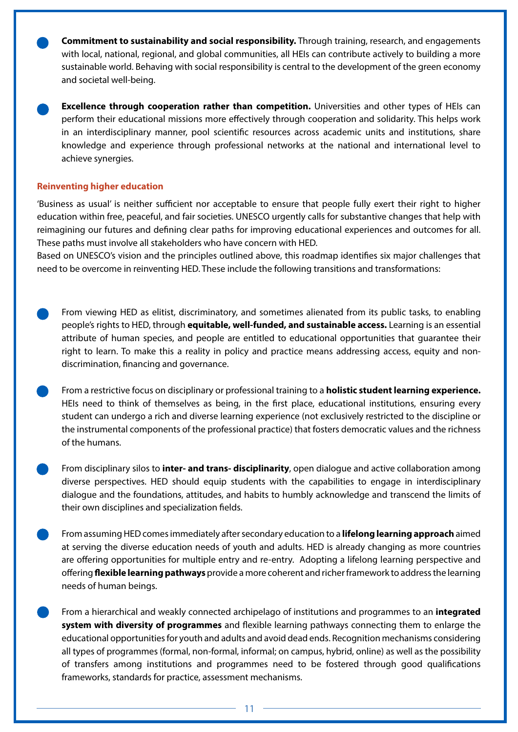**Commitment to sustainability and social responsibility.** Through training, research, and engagements with local, national, regional, and global communities, all HEIs can contribute actively to building a more sustainable world. Behaving with social responsibility is central to the development of the green economy and societal well-being.

**Excellence through cooperation rather than competition.** Universities and other types of HEIs can perform their educational missions more effectively through cooperation and solidarity. This helps work in an interdisciplinary manner, pool scientific resources across academic units and institutions, share knowledge and experience through professional networks at the national and international level to achieve synergies.

#### **Reinventing higher education**

'Business as usual' is neither sufficient nor acceptable to ensure that people fully exert their right to higher education within free, peaceful, and fair societies. UNESCO urgently calls for substantive changes that help with reimagining our futures and defining clear paths for improving educational experiences and outcomes for all. These paths must involve all stakeholders who have concern with HED.

Based on UNESCO's vision and the principles outlined above, this roadmap identifies six major challenges that need to be overcome in reinventing HED. These include the following transitions and transformations:

- From viewing HED as elitist, discriminatory, and sometimes alienated from its public tasks, to enabling people's rights to HED, through **equitable, well-funded, and sustainable access.** Learning is an essential attribute of human species, and people are entitled to educational opportunities that guarantee their right to learn. To make this a reality in policy and practice means addressing access, equity and nondiscrimination, financing and governance.
- From a restrictive focus on disciplinary or professional training to a **holistic student learning experience.**  HEIs need to think of themselves as being, in the first place, educational institutions, ensuring every student can undergo a rich and diverse learning experience (not exclusively restricted to the discipline or the instrumental components of the professional practice) that fosters democratic values and the richness of the humans.
- From disciplinary silos to **inter- and trans- disciplinarity**, open dialogue and active collaboration among diverse perspectives. HED should equip students with the capabilities to engage in interdisciplinary dialogue and the foundations, attitudes, and habits to humbly acknowledge and transcend the limits of their own disciplines and specialization fields.
- From assuming HED comes immediately after secondary education to a **lifelong learning approach** aimed at serving the diverse education needs of youth and adults. HED is already changing as more countries are offering opportunities for multiple entry and re-entry. Adopting a lifelong learning perspective and offering **flexible learning pathways** provide a more coherent and richer framework to address the learning needs of human beings.
	- From a hierarchical and weakly connected archipelago of institutions and programmes to an **integrated system with diversity of programmes** and flexible learning pathways connecting them to enlarge the educational opportunities for youth and adults and avoid dead ends. Recognition mechanisms considering all types of programmes (formal, non-formal, informal; on campus, hybrid, online) as well as the possibility of transfers among institutions and programmes need to be fostered through good qualifications frameworks, standards for practice, assessment mechanisms.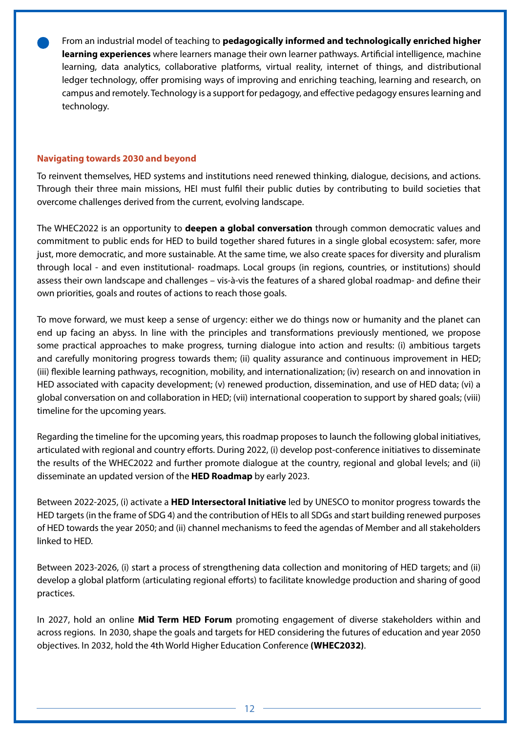From an industrial model of teaching to **pedagogically informed and technologically enriched higher learning experiences** where learners manage their own learner pathways. Artificial intelligence, machine learning, data analytics, collaborative platforms, virtual reality, internet of things, and distributional ledger technology, offer promising ways of improving and enriching teaching, learning and research, on campus and remotely. Technology is a support for pedagogy, and effective pedagogy ensures learning and technology.

#### **Navigating towards 2030 and beyond**

To reinvent themselves, HED systems and institutions need renewed thinking, dialogue, decisions, and actions. Through their three main missions, HEI must fulfil their public duties by contributing to build societies that overcome challenges derived from the current, evolving landscape.

The WHEC2022 is an opportunity to **deepen a global conversation** through common democratic values and commitment to public ends for HED to build together shared futures in a single global ecosystem: safer, more just, more democratic, and more sustainable. At the same time, we also create spaces for diversity and pluralism through local - and even institutional- roadmaps. Local groups (in regions, countries, or institutions) should assess their own landscape and challenges – vis-à-vis the features of a shared global roadmap- and define their own priorities, goals and routes of actions to reach those goals.

To move forward, we must keep a sense of urgency: either we do things now or humanity and the planet can end up facing an abyss. In line with the principles and transformations previously mentioned, we propose some practical approaches to make progress, turning dialogue into action and results: (i) ambitious targets and carefully monitoring progress towards them; (ii) quality assurance and continuous improvement in HED; (iii) flexible learning pathways, recognition, mobility, and internationalization; (iv) research on and innovation in HED associated with capacity development; (v) renewed production, dissemination, and use of HED data; (vi) a global conversation on and collaboration in HED; (vii) international cooperation to support by shared goals; (viii) timeline for the upcoming years.

Regarding the timeline for the upcoming years, this roadmap proposes to launch the following global initiatives, articulated with regional and country efforts. During 2022, (i) develop post-conference initiatives to disseminate the results of the WHEC2022 and further promote dialogue at the country, regional and global levels; and (ii) disseminate an updated version of the **HED Roadmap** by early 2023.

Between 2022-2025, (i) activate a **HED Intersectoral Initiative** led by UNESCO to monitor progress towards the HED targets (in the frame of SDG 4) and the contribution of HEIs to all SDGs and start building renewed purposes of HED towards the year 2050; and (ii) channel mechanisms to feed the agendas of Member and all stakeholders linked to HED.

Between 2023-2026, (i) start a process of strengthening data collection and monitoring of HED targets; and (ii) develop a global platform (articulating regional efforts) to facilitate knowledge production and sharing of good practices.

In 2027, hold an online **Mid Term HED Forum** promoting engagement of diverse stakeholders within and across regions. In 2030, shape the goals and targets for HED considering the futures of education and year 2050 objectives. In 2032, hold the 4th World Higher Education Conference **(WHEC2032)**.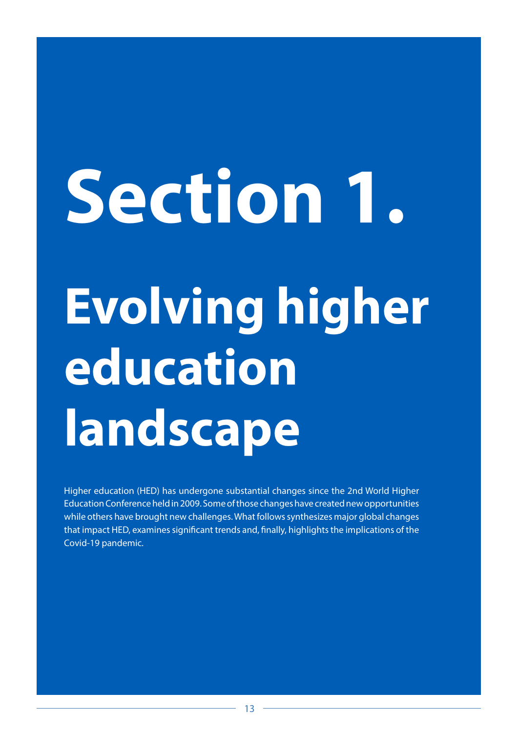# <span id="page-12-0"></span>**Evolving higher education landscape Section 1.**

Higher education (HED) has undergone substantial changes since the 2nd World Higher Education Conference held in 2009. Some of those changes have created new opportunities while others have brought new challenges. What follows synthesizes major global changes that impact HED, examines significant trends and, finally, highlights the implications of the Covid-19 pandemic.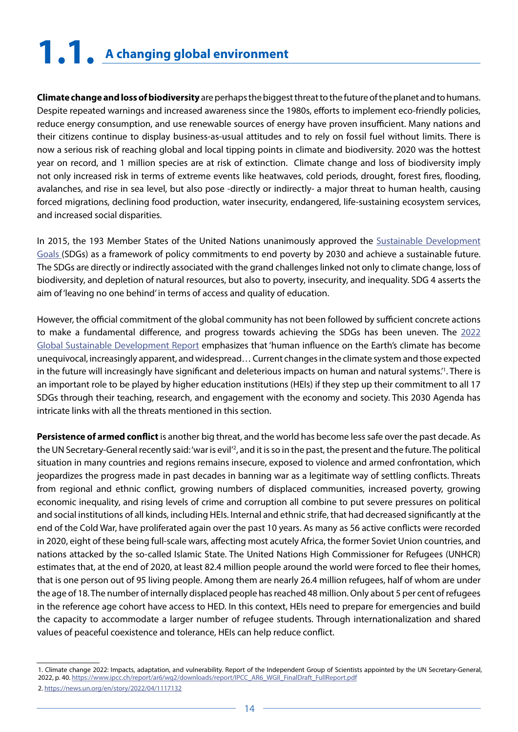## <span id="page-13-0"></span>**1.1. A changing global environment**

**Climate change and loss of biodiversity** are perhaps the biggest threat to the future of the planet and to humans. Despite repeated warnings and increased awareness since the 1980s, efforts to implement eco-friendly policies, reduce energy consumption, and use renewable sources of energy have proven insufficient. Many nations and their citizens continue to display business-as-usual attitudes and to rely on fossil fuel without limits. There is now a serious risk of reaching global and local tipping points in climate and biodiversity. 2020 was the hottest year on record, and 1 million species are at risk of extinction. Climate change and loss of biodiversity imply not only increased risk in terms of extreme events like heatwaves, cold periods, drought, forest fires, flooding, avalanches, and rise in sea level, but also pose -directly or indirectly- a major threat to human health, causing forced migrations, declining food production, water insecurity, endangered, life-sustaining ecosystem services, and increased social disparities.

In 2015, the 193 Member States of the United Nations unanimously approved the [Sustainable Development](https://sdgs.un.org/goals) [Goals \(](https://sdgs.un.org/goals)SDGs) as a framework of policy commitments to end poverty by 2030 and achieve a sustainable future. The SDGs are directly or indirectly associated with the grand challenges linked not only to climate change, loss of biodiversity, and depletion of natural resources, but also to poverty, insecurity, and inequality. SDG 4 asserts the aim of 'leaving no one behind' in terms of access and quality of education.

However, the official commitment of the global community has not been followed by sufficient concrete actions to make a fundamental difference, and progress towards achieving the SDGs has been uneven. The [2022](https://www.ipcc.ch/report/ar6/wg2/) [Global Sustainable Development Report](https://www.ipcc.ch/report/ar6/wg2/) emphasizes that 'human influence on the Earth's climate has become unequivocal, increasingly apparent, and widespread… Current changes in the climate system and those expected in the future will increasingly have significant and deleterious impacts on human and natural systems.<sup>1</sup>. There is an important role to be played by higher education institutions (HEIs) if they step up their commitment to all 17 SDGs through their teaching, research, and engagement with the economy and society. This 2030 Agenda has intricate links with all the threats mentioned in this section.

**Persistence of armed conflict** is another big threat, and the world has become less safe over the past decade. As the UN Secretary-General recently said: 'war is evil'<sup>2</sup>, and it is so in the past, the present and the future. The political situation in many countries and regions remains insecure, exposed to violence and armed confrontation, which jeopardizes the progress made in past decades in banning war as a legitimate way of settling conflicts. Threats from regional and ethnic conflict, growing numbers of displaced communities, increased poverty, growing economic inequality, and rising levels of crime and corruption all combine to put severe pressures on political and social institutions of all kinds, including HEIs. Internal and ethnic strife, that had decreased significantly at the end of the Cold War, have proliferated again over the past 10 years. As many as 56 active conflicts were recorded in 2020, eight of these being full-scale wars, affecting most acutely Africa, the former Soviet Union countries, and nations attacked by the so-called Islamic State. The United Nations High Commissioner for Refugees (UNHCR) estimates that, at the end of 2020, at least 82.4 million people around the world were forced to flee their homes, that is one person out of 95 living people. Among them are nearly 26.4 million refugees, half of whom are under the age of 18. The number of internally displaced people has reached 48 million. Only about 5 per cent of refugees in the reference age cohort have access to HED. In this context, HEIs need to prepare for emergencies and build the capacity to accommodate a larger number of refugee students. Through internationalization and shared values of peaceful coexistence and tolerance, HEIs can help reduce conflict.

<sup>1.</sup> Climate change 2022: Impacts, adaptation, and vulnerability. Report of the Independent Group of Scientists appointed by the UN Secretary-General, 2022, p. 40. [https://www.ipcc.ch/report/ar6/wg2/downloads/report/IPCC\\_AR6\\_WGII\\_FinalDraft\\_FullReport.pdf](https://www.ipcc.ch/report/ar6/wg2/downloads/report/IPCC_AR6_WGII_FinalDraft_FullReport.pdf ) 2.<https://news.un.org/en/story/2022/04/1117132>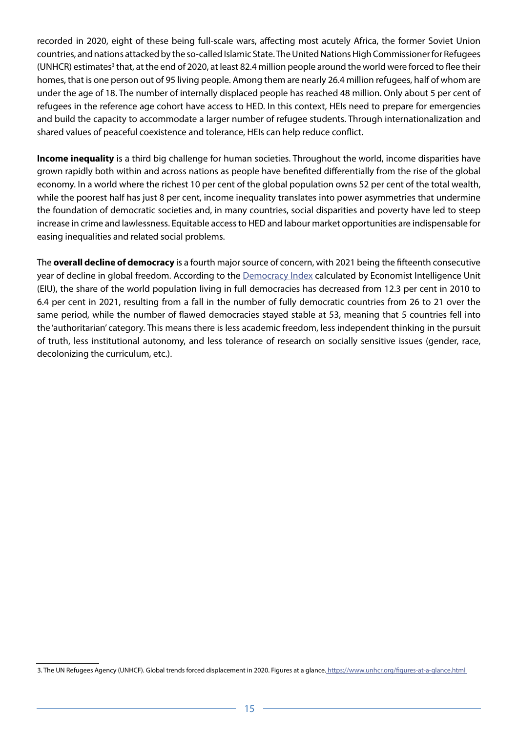recorded in 2020, eight of these being full-scale wars, affecting most acutely Africa, the former Soviet Union countries, and nations attacked by the so-called Islamic State. The United Nations High Commissioner for Refugees (UNHCR) estimates<sup>3</sup> that, at the end of 2020, at least 82.4 million people around the world were forced to flee their homes, that is one person out of 95 living people. Among them are nearly 26.4 million refugees, half of whom are under the age of 18. The number of internally displaced people has reached 48 million. Only about 5 per cent of refugees in the reference age cohort have access to HED. In this context, HEIs need to prepare for emergencies and build the capacity to accommodate a larger number of refugee students. Through internationalization and shared values of peaceful coexistence and tolerance, HEIs can help reduce conflict.

**Income inequality** is a third big challenge for human societies. Throughout the world, income disparities have grown rapidly both within and across nations as people have benefited differentially from the rise of the global economy. In a world where the richest 10 per cent of the global population owns 52 per cent of the total wealth, while the poorest half has just 8 per cent, income inequality translates into power asymmetries that undermine the foundation of democratic societies and, in many countries, social disparities and poverty have led to steep increase in crime and lawlessness. Equitable access to HED and labour market opportunities are indispensable for easing inequalities and related social problems.

The **overall decline of democracy** is a fourth major source of concern, with 2021 being the fifteenth consecutive year of decline in global freedom. According to the **[Democracy Index](https://www.eiu.com/n/campaigns/democracy-index-2021/?utm_source=economist-daily-chart&utm_medium=anchor&utm_campaign=democracy-index-2020&utm_content=anchor-1) calculated by Economist Intelligence Unit** (EIU), the share of the world population living in full democracies has decreased from 12.3 per cent in 2010 to 6.4 per cent in 2021, resulting from a fall in the number of fully democratic countries from 26 to 21 over the same period, while the number of flawed democracies stayed stable at 53, meaning that 5 countries fell into the 'authoritarian' category. This means there is less academic freedom, less independent thinking in the pursuit of truth, less institutional autonomy, and less tolerance of research on socially sensitive issues (gender, race, decolonizing the curriculum, etc.).

<sup>3.</sup> The UN Refugees Agency (UNHCF). Global trends forced displacement in 2020. Figures at a glance. https://www.unhcr.org/figures-at-a-glance.html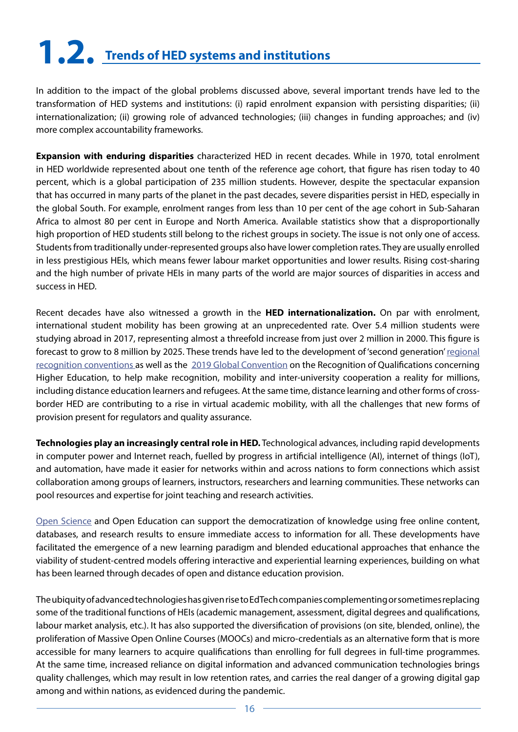# <span id="page-15-0"></span>**1.2. Trends of HED systems and institutions**

In addition to the impact of the global problems discussed above, several important trends have led to the transformation of HED systems and institutions: (i) rapid enrolment expansion with persisting disparities; (ii) internationalization; (ii) growing role of advanced technologies; (iii) changes in funding approaches; and (iv) more complex accountability frameworks.

**Expansion with enduring disparities** characterized HED in recent decades. While in 1970, total enrolment in HED worldwide represented about one tenth of the reference age cohort, that figure has risen today to 40 percent, which is a global participation of 235 million students. However, despite the spectacular expansion that has occurred in many parts of the planet in the past decades, severe disparities persist in HED, especially in the global South. For example, enrolment ranges from less than 10 per cent of the age cohort in Sub-Saharan Africa to almost 80 per cent in Europe and North America. Available statistics show that a disproportionally high proportion of HED students still belong to the richest groups in society. The issue is not only one of access. Students from traditionally under-represented groups also have lower completion rates. They are usually enrolled in less prestigious HEIs, which means fewer labour market opportunities and lower results. Rising cost-sharing and the high number of private HEIs in many parts of the world are major sources of disparities in access and success in HED.

Recent decades have also witnessed a growth in the **HED internationalization.** On par with enrolment, international student mobility has been growing at an unprecedented rate. Over 5.4 million students were studying abroad in 2017, representing almost a threefold increase from just over 2 million in 2000. This figure is forecast to grow to 8 million by 2025. These trends have led to the development of 'second generation' [regional](https://www.unesco.org/en/education/higher-education/conventions) [recognition conventions](https://www.unesco.org/en/education/higher-education/conventions) as well as the [2019 Global Convention](https://www.unesco.org/en/education/higher-education/global-convention) on the Recognition of Qualifications concerning Higher Education, to help make recognition, mobility and inter-university cooperation a reality for millions, including distance education learners and refugees. At the same time, distance learning and other forms of crossborder HED are contributing to a rise in virtual academic mobility, with all the challenges that new forms of provision present for regulators and quality assurance.

**Technologies play an increasingly central role in HED.** Technological advances, including rapid developments in computer power and Internet reach, fuelled by progress in artificial intelligence (AI), internet of things (IoT), and automation, have made it easier for networks within and across nations to form connections which assist collaboration among groups of learners, instructors, researchers and learning communities. These networks can pool resources and expertise for joint teaching and research activities.

[Open Science](https://en.unesco.org/science-sustainable-future/open-science/recommendation) and Open Education can support the democratization of knowledge using free online content, databases, and research results to ensure immediate access to information for all. These developments have facilitated the emergence of a new learning paradigm and blended educational approaches that enhance the viability of student-centred models offering interactive and experiential learning experiences, building on what has been learned through decades of open and distance education provision.

The ubiquity of advanced technologies has given rise to EdTech companies complementing or sometimes replacing some of the traditional functions of HEIs (academic management, assessment, digital degrees and qualifications, labour market analysis, etc.). It has also supported the diversification of provisions (on site, blended, online), the proliferation of Massive Open Online Courses (MOOCs) and micro-credentials as an alternative form that is more accessible for many learners to acquire qualifications than enrolling for full degrees in full-time programmes. At the same time, increased reliance on digital information and advanced communication technologies brings quality challenges, which may result in low retention rates, and carries the real danger of a growing digital gap among and within nations, as evidenced during the pandemic.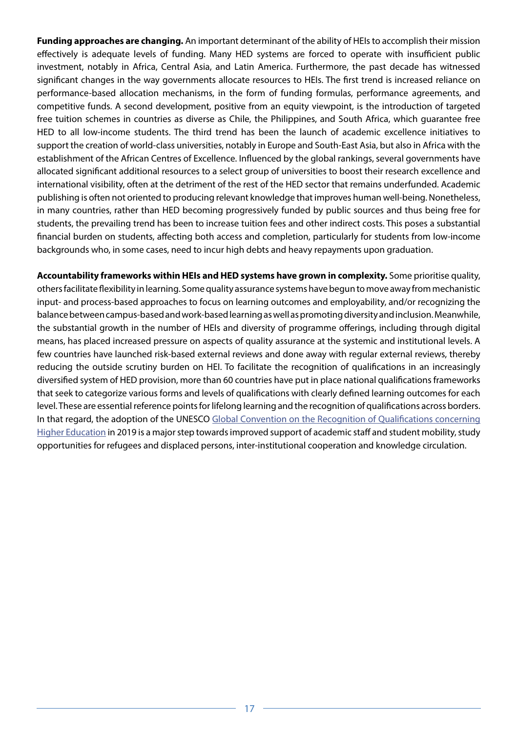**Funding approaches are changing.** An important determinant of the ability of HEIs to accomplish their mission effectively is adequate levels of funding. Many HED systems are forced to operate with insufficient public investment, notably in Africa, Central Asia, and Latin America. Furthermore, the past decade has witnessed significant changes in the way governments allocate resources to HEIs. The first trend is increased reliance on performance-based allocation mechanisms, in the form of funding formulas, performance agreements, and competitive funds. A second development, positive from an equity viewpoint, is the introduction of targeted free tuition schemes in countries as diverse as Chile, the Philippines, and South Africa, which guarantee free HED to all low-income students. The third trend has been the launch of academic excellence initiatives to support the creation of world-class universities, notably in Europe and South-East Asia, but also in Africa with the establishment of the African Centres of Excellence. Influenced by the global rankings, several governments have allocated significant additional resources to a select group of universities to boost their research excellence and international visibility, often at the detriment of the rest of the HED sector that remains underfunded. Academic publishing is often not oriented to producing relevant knowledge that improves human well-being. Nonetheless, in many countries, rather than HED becoming progressively funded by public sources and thus being free for students, the prevailing trend has been to increase tuition fees and other indirect costs. This poses a substantial financial burden on students, affecting both access and completion, particularly for students from low-income backgrounds who, in some cases, need to incur high debts and heavy repayments upon graduation.

**Accountability frameworks within HEIs and HED systems have grown in complexity.** Some prioritise quality, others facilitate flexibility in learning. Some quality assurance systems have begun to move away from mechanistic input- and process-based approaches to focus on learning outcomes and employability, and/or recognizing the balance between campus-based and work-based learning as well as promoting diversity and inclusion. Meanwhile, the substantial growth in the number of HEIs and diversity of programme offerings, including through digital means, has placed increased pressure on aspects of quality assurance at the systemic and institutional levels. A few countries have launched risk-based external reviews and done away with regular external reviews, thereby reducing the outside scrutiny burden on HEI. To facilitate the recognition of qualifications in an increasingly diversified system of HED provision, more than 60 countries have put in place national qualifications frameworks that seek to categorize various forms and levels of qualifications with clearly defined learning outcomes for each level. These are essential reference points for lifelong learning and the recognition of qualifications across borders. In that regard, the adoption of the UNESCO [Global Convention on the Recognition of Qualifications concerning](https://www.unesco.org/en/education/higher-education/global-convention) [Higher Education](https://www.unesco.org/en/education/higher-education/global-convention) in 2019 is a major step towards improved support of academic staff and student mobility, study opportunities for refugees and displaced persons, inter-institutional cooperation and knowledge circulation.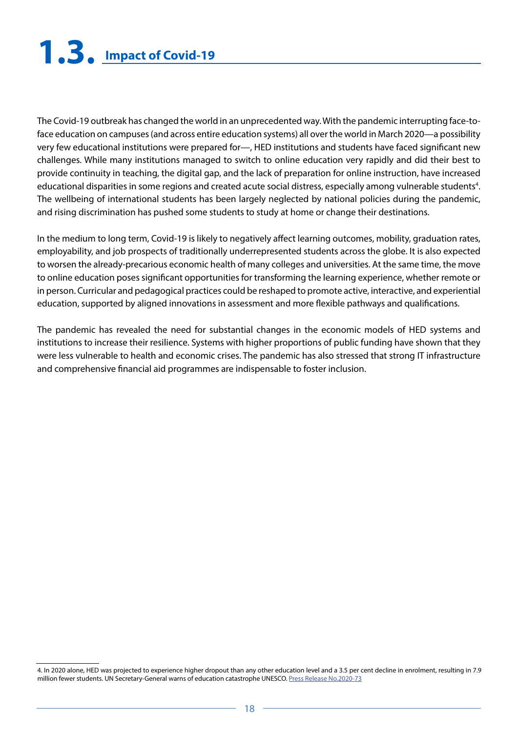## <span id="page-17-0"></span>**1.3. Impact of Covid-19**

The Covid-19 outbreak has changed the world in an unprecedented way. With the pandemic interrupting face-toface education on campuses (and across entire education systems) all over the world in March 2020—a possibility very few educational institutions were prepared for—, HED institutions and students have faced significant new challenges. While many institutions managed to switch to online education very rapidly and did their best to provide continuity in teaching, the digital gap, and the lack of preparation for online instruction, have increased educational disparities in some regions and created acute social distress, especially among vulnerable students<sup>4</sup>. The wellbeing of international students has been largely neglected by national policies during the pandemic, and rising discrimination has pushed some students to study at home or change their destinations.

In the medium to long term, Covid-19 is likely to negatively affect learning outcomes, mobility, graduation rates, employability, and job prospects of traditionally underrepresented students across the globe. It is also expected to worsen the already-precarious economic health of many colleges and universities. At the same time, the move to online education poses significant opportunities for transforming the learning experience, whether remote or in person. Curricular and pedagogical practices could be reshaped to promote active, interactive, and experiential education, supported by aligned innovations in assessment and more flexible pathways and qualifications.

The pandemic has revealed the need for substantial changes in the economic models of HED systems and institutions to increase their resilience. Systems with higher proportions of public funding have shown that they were less vulnerable to health and economic crises. The pandemic has also stressed that strong IT infrastructure and comprehensive financial aid programmes are indispensable to foster inclusion.

<sup>4.</sup> In 2020 alone, HED was projected to experience higher dropout than any other education level and a 3.5 per cent decline in enrolment, resulting in 7.9 million fewer students. UN Secretary-General warns of education catastrophe UNESCO. [Press Release No.2020-73](https://en.unesco.org/news/secretary-general-warns-education-catastrophe-pointing-unesco-estimate-24-million-learners-risk)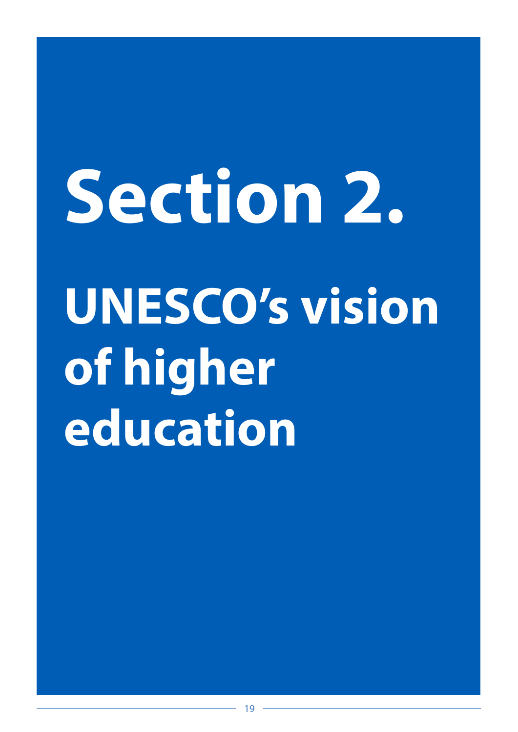# <span id="page-18-0"></span>**UNESCO's vision of higher education Section 2.**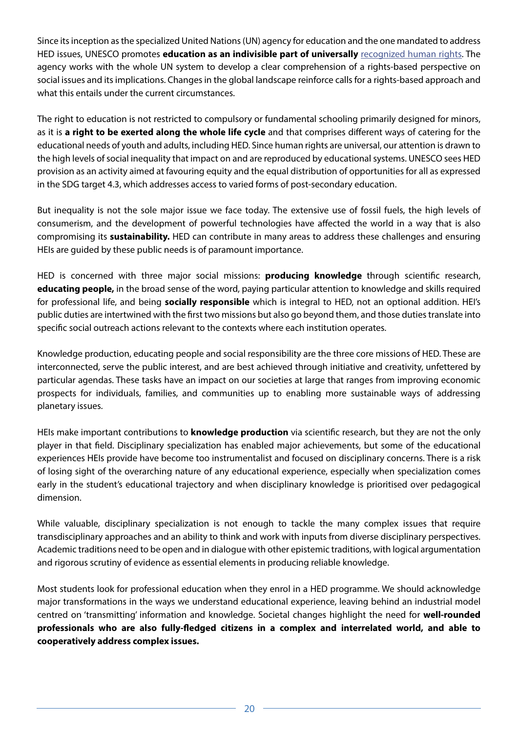Since its inception as the specialized United Nations (UN) agency for education and the one mandated to address HED issues, UNESCO promotes **education as an indivisible part of universally** [recognized human rights.](https://www.unesco.org/en/education/right-education) The agency works with the whole UN system to develop a clear comprehension of a rights-based perspective on social issues and its implications. Changes in the global landscape reinforce calls for a rights-based approach and what this entails under the current circumstances.

The right to education is not restricted to compulsory or fundamental schooling primarily designed for minors, as it is **a right to be exerted along the whole life cycle** and that comprises different ways of catering for the educational needs of youth and adults, including HED. Since human rights are universal, our attention is drawn to the high levels of social inequality that impact on and are reproduced by educational systems. UNESCO sees HED provision as an activity aimed at favouring equity and the equal distribution of opportunities for all as expressed in the SDG target 4.3, which addresses access to varied forms of post-secondary education.

But inequality is not the sole major issue we face today. The extensive use of fossil fuels, the high levels of consumerism, and the development of powerful technologies have affected the world in a way that is also compromising its **sustainability.** HED can contribute in many areas to address these challenges and ensuring HEIs are guided by these public needs is of paramount importance.

HED is concerned with three major social missions: **producing knowledge** through scientific research, **educating people,** in the broad sense of the word, paying particular attention to knowledge and skills required for professional life, and being **socially responsible** which is integral to HED, not an optional addition. HEI's public duties are intertwined with the first two missions but also go beyond them, and those duties translate into specific social outreach actions relevant to the contexts where each institution operates.

Knowledge production, educating people and social responsibility are the three core missions of HED. These are interconnected, serve the public interest, and are best achieved through initiative and creativity, unfettered by particular agendas. These tasks have an impact on our societies at large that ranges from improving economic prospects for individuals, families, and communities up to enabling more sustainable ways of addressing planetary issues.

HEIs make important contributions to **knowledge production** via scientific research, but they are not the only player in that field. Disciplinary specialization has enabled major achievements, but some of the educational experiences HEIs provide have become too instrumentalist and focused on disciplinary concerns. There is a risk of losing sight of the overarching nature of any educational experience, especially when specialization comes early in the student's educational trajectory and when disciplinary knowledge is prioritised over pedagogical dimension.

While valuable, disciplinary specialization is not enough to tackle the many complex issues that require transdisciplinary approaches and an ability to think and work with inputs from diverse disciplinary perspectives. Academic traditions need to be open and in dialogue with other epistemic traditions, with logical argumentation and rigorous scrutiny of evidence as essential elements in producing reliable knowledge.

Most students look for professional education when they enrol in a HED programme. We should acknowledge major transformations in the ways we understand educational experience, leaving behind an industrial model centred on 'transmitting' information and knowledge. Societal changes highlight the need for **well-rounded professionals who are also fully-fledged citizens in a complex and interrelated world, and able to cooperatively address complex issues.**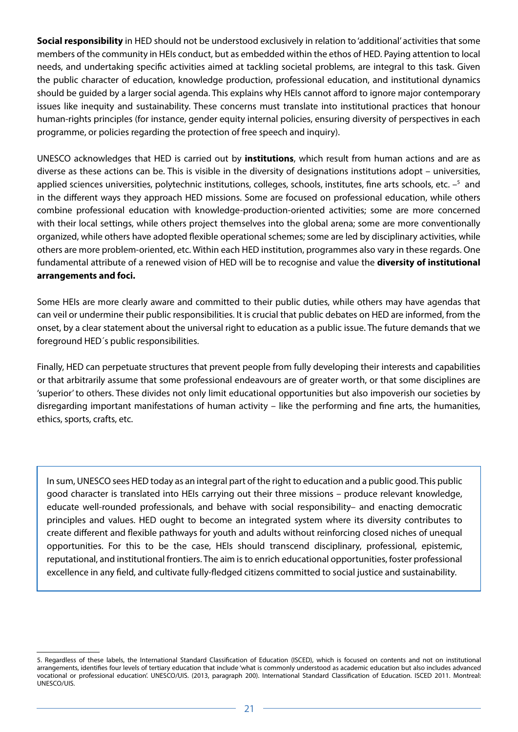**Social responsibility** in HED should not be understood exclusively in relation to 'additional' activities that some members of the community in HEIs conduct, but as embedded within the ethos of HED. Paying attention to local needs, and undertaking specific activities aimed at tackling societal problems, are integral to this task. Given the public character of education, knowledge production, professional education, and institutional dynamics should be guided by a larger social agenda. This explains why HEIs cannot afford to ignore major contemporary issues like inequity and sustainability. These concerns must translate into institutional practices that honour human-rights principles (for instance, gender equity internal policies, ensuring diversity of perspectives in each programme, or policies regarding the protection of free speech and inquiry).

UNESCO acknowledges that HED is carried out by **institutions**, which result from human actions and are as diverse as these actions can be. This is visible in the diversity of designations institutions adopt – universities, applied sciences universities, polytechnic institutions, colleges, schools, institutes, fine arts schools, etc. -<sup>5</sup> and in the different ways they approach HED missions. Some are focused on professional education, while others combine professional education with knowledge-production-oriented activities; some are more concerned with their local settings, while others project themselves into the global arena; some are more conventionally organized, while others have adopted flexible operational schemes; some are led by disciplinary activities, while others are more problem-oriented, etc. Within each HED institution, programmes also vary in these regards. One fundamental attribute of a renewed vision of HED will be to recognise and value the **diversity of institutional arrangements and foci.**

Some HEIs are more clearly aware and committed to their public duties, while others may have agendas that can veil or undermine their public responsibilities. It is crucial that public debates on HED are informed, from the onset, by a clear statement about the universal right to education as a public issue. The future demands that we foreground HED´s public responsibilities.

Finally, HED can perpetuate structures that prevent people from fully developing their interests and capabilities or that arbitrarily assume that some professional endeavours are of greater worth, or that some disciplines are 'superior' to others. These divides not only limit educational opportunities but also impoverish our societies by disregarding important manifestations of human activity – like the performing and fine arts, the humanities, ethics, sports, crafts, etc.

In sum, UNESCO sees HED today as an integral part of the right to education and a public good. This public good character is translated into HEIs carrying out their three missions – produce relevant knowledge, educate well-rounded professionals, and behave with social responsibility– and enacting democratic principles and values. HED ought to become an integrated system where its diversity contributes to create different and flexible pathways for youth and adults without reinforcing closed niches of unequal opportunities. For this to be the case, HEIs should transcend disciplinary, professional, epistemic, reputational, and institutional frontiers. The aim is to enrich educational opportunities, foster professional excellence in any field, and cultivate fully-fledged citizens committed to social justice and sustainability.

<sup>5.</sup> Regardless of these labels, the International Standard Classification of Education (ISCED), which is focused on contents and not on institutional arrangements, identifies four levels of tertiary education that include 'what is commonly understood as academic education but also includes advanced vocational or professional education'. UNESCO/UIS. (2013, paragraph 200). International Standard Classification of Education. ISCED 2011. Montreal: UNESCO/UIS.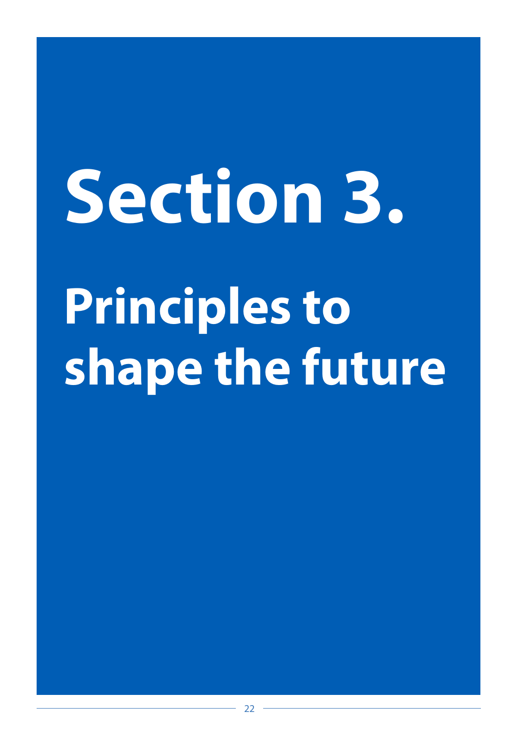# <span id="page-21-0"></span>**Principles to shape the future Section 3.**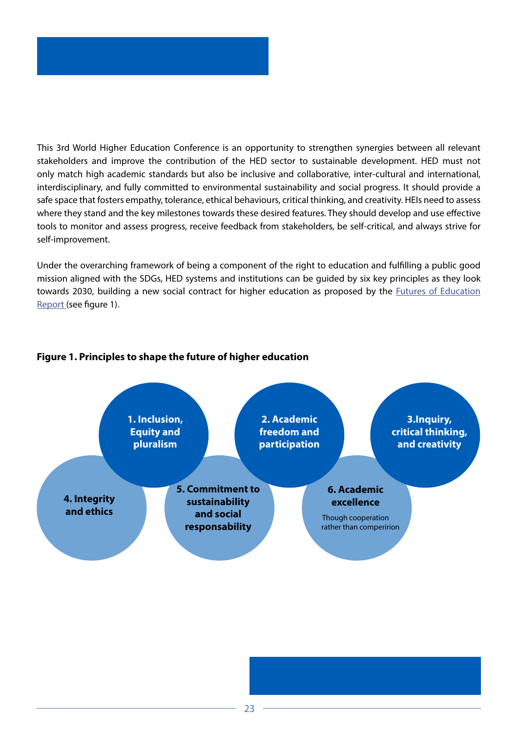This 3rd World Higher Education Conference is an opportunity to strengthen synergies between all relevant stakeholders and improve the contribution of the HED sector to sustainable development. HED must not only match high academic standards but also be inclusive and collaborative, inter-cultural and international, interdisciplinary, and fully committed to environmental sustainability and social progress. It should provide a safe space that fosters empathy, tolerance, ethical behaviours, critical thinking, and creativity. HEIs need to assess where they stand and the key milestones towards these desired features. They should develop and use effective tools to monitor and assess progress, receive feedback from stakeholders, be self-critical, and always strive for self-improvement.

Under the overarching framework of being a component of the right to education and fulfilling a public good mission aligned with the SDGs, HED systems and institutions can be guided by six key principles as they look towards 2030, building a new social contract for higher education as proposed by the [Futures of Education](https://en.unesco.org/futuresofeducation/) [Report](https://en.unesco.org/futuresofeducation/) (see figure 1).



#### **Figure 1. Principles to shape the future of higher education**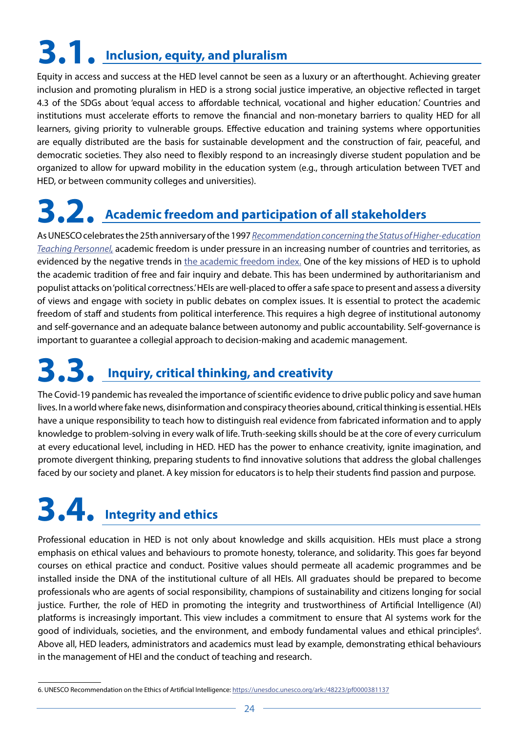# <span id="page-23-0"></span>**3.1. Inclusion, equity, and pluralism**

Equity in access and success at the HED level cannot be seen as a luxury or an afterthought. Achieving greater inclusion and promoting pluralism in HED is a strong social justice imperative, an objective reflected in target 4.3 of the SDGs about 'equal access to affordable technical, vocational and higher education.' Countries and institutions must accelerate efforts to remove the financial and non-monetary barriers to quality HED for all learners, giving priority to vulnerable groups. Effective education and training systems where opportunities are equally distributed are the basis for sustainable development and the construction of fair, peaceful, and democratic societies. They also need to flexibly respond to an increasingly diverse student population and be organized to allow for upward mobility in the education system (e.g., through articulation between TVET and HED, or between community colleges and universities).

## **3.2. Academic freedom and participation of all stakeholders**

As UNESCO celebrates the 25th anniversary of the 1997 *[Recommendation concerning the Status of Higher-education](https://unesdoc.unesco.org/ark:/48223/pf0000160495?3=null&queryId=5f2339a2-effc-41f9-b408-dc12e5d8b157) [Teaching Personnel,](https://unesdoc.unesco.org/ark:/48223/pf0000160495?3=null&queryId=5f2339a2-effc-41f9-b408-dc12e5d8b157)* academic freedom is under pressure in an increasing number of countries and territories, as evidenced by the negative trends in [the academic freedom index.](http://the academic freedom index.) One of the key missions of HED is to uphold the academic tradition of free and fair inquiry and debate. This has been undermined by authoritarianism and populist attacks on 'political correctness.' HEIs are well-placed to offer a safe space to present and assess a diversity of views and engage with society in public debates on complex issues. It is essential to protect the academic freedom of staff and students from political interference. This requires a high degree of institutional autonomy and self-governance and an adequate balance between autonomy and public accountability. Self-governance is important to guarantee a collegial approach to decision-making and academic management.

## **3.3. Inquiry, critical thinking, and creativity**

The Covid-19 pandemic has revealed the importance of scientific evidence to drive public policy and save human lives. In a world where fake news, disinformation and conspiracy theories abound, critical thinking is essential. HEIs have a unique responsibility to teach how to distinguish real evidence from fabricated information and to apply knowledge to problem-solving in every walk of life. Truth-seeking skills should be at the core of every curriculum at every educational level, including in HED. HED has the power to enhance creativity, ignite imagination, and promote divergent thinking, preparing students to find innovative solutions that address the global challenges faced by our society and planet. A key mission for educators is to help their students find passion and purpose.

## **3.4. Integrity and ethics**

Professional education in HED is not only about knowledge and skills acquisition. HEIs must place a strong emphasis on ethical values and behaviours to promote honesty, tolerance, and solidarity. This goes far beyond courses on ethical practice and conduct. Positive values should permeate all academic programmes and be installed inside the DNA of the institutional culture of all HEIs. All graduates should be prepared to become professionals who are agents of social responsibility, champions of sustainability and citizens longing for social justice. Further, the role of HED in promoting the integrity and trustworthiness of Artificial Intelligence (AI) platforms is increasingly important. This view includes a commitment to ensure that AI systems work for the good of individuals, societies, and the environment, and embody fundamental values and ethical principles<sup>6</sup>. Above all, HED leaders, administrators and academics must lead by example, demonstrating ethical behaviours in the management of HEI and the conduct of teaching and research.

<sup>6.</sup> UNESCO Recommendation on the Ethics of Artificial Intelligence:<https://unesdoc.unesco.org/ark:/48223/pf0000381137>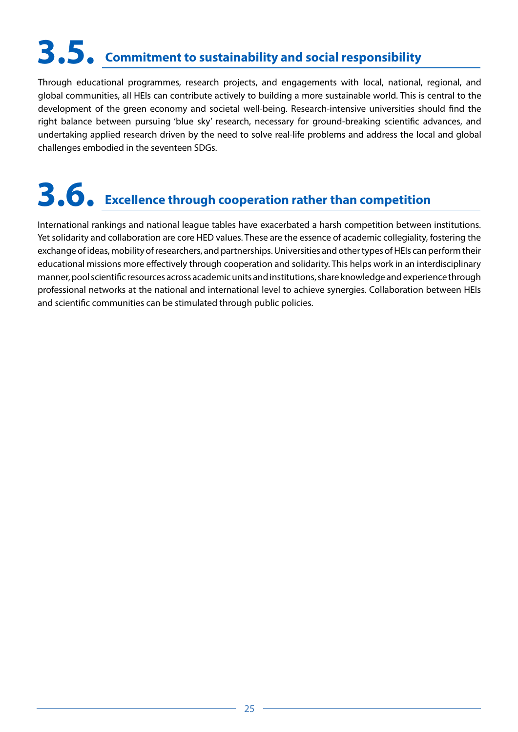# <span id="page-24-0"></span>**3.5. Commitment to sustainability and social responsibility**

Through educational programmes, research projects, and engagements with local, national, regional, and global communities, all HEIs can contribute actively to building a more sustainable world. This is central to the development of the green economy and societal well-being. Research-intensive universities should find the right balance between pursuing 'blue sky' research, necessary for ground-breaking scientific advances, and undertaking applied research driven by the need to solve real-life problems and address the local and global challenges embodied in the seventeen SDGs.

# **3.6. Excellence through cooperation rather than competition**

International rankings and national league tables have exacerbated a harsh competition between institutions. Yet solidarity and collaboration are core HED values. These are the essence of academic collegiality, fostering the exchange of ideas, mobility of researchers, and partnerships. Universities and other types of HEIs can perform their educational missions more effectively through cooperation and solidarity. This helps work in an interdisciplinary manner, pool scientific resources across academic units and institutions, share knowledge and experience through professional networks at the national and international level to achieve synergies. Collaboration between HEIs and scientific communities can be stimulated through public policies.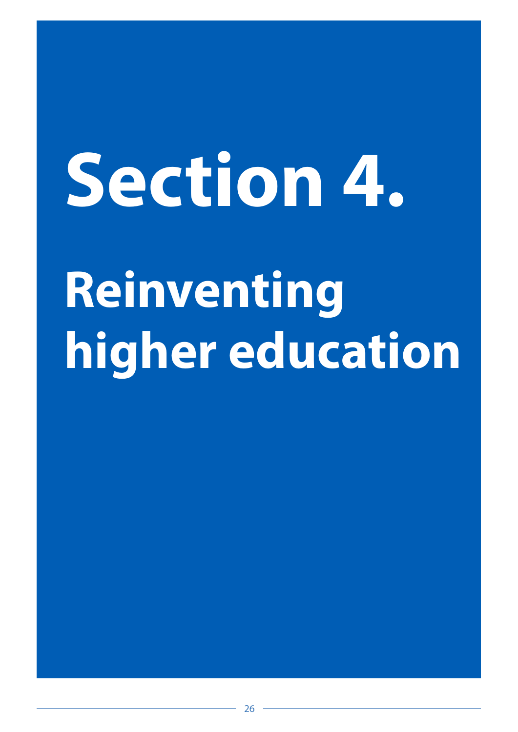# <span id="page-25-0"></span>**Section 4.**

# **Reinventing higher education**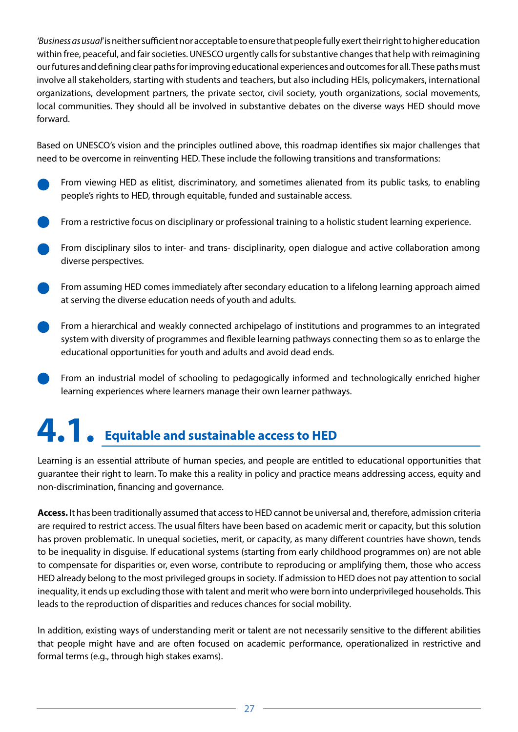<span id="page-26-0"></span>*'Business as usual*' is neither sufficient nor acceptable to ensure that people fully exert their right to higher education within free, peaceful, and fair societies. UNESCO urgently calls for substantive changes that help with reimagining our futures and defining clear paths for improving educational experiences and outcomes for all. These paths must involve all stakeholders, starting with students and teachers, but also including HEIs, policymakers, international organizations, development partners, the private sector, civil society, youth organizations, social movements, local communities. They should all be involved in substantive debates on the diverse ways HED should move forward.

Based on UNESCO's vision and the principles outlined above, this roadmap identifies six major challenges that need to be overcome in reinventing HED. These include the following transitions and transformations:

- From viewing HED as elitist, discriminatory, and sometimes alienated from its public tasks, to enabling people's rights to HED, through equitable, funded and sustainable access.
- From a restrictive focus on disciplinary or professional training to a holistic student learning experience.
- From disciplinary silos to inter- and trans- disciplinarity, open dialogue and active collaboration among diverse perspectives.
- From assuming HED comes immediately after secondary education to a lifelong learning approach aimed at serving the diverse education needs of youth and adults.
- From a hierarchical and weakly connected archipelago of institutions and programmes to an integrated system with diversity of programmes and flexible learning pathways connecting them so as to enlarge the educational opportunities for youth and adults and avoid dead ends.
- From an industrial model of schooling to pedagogically informed and technologically enriched higher learning experiences where learners manage their own learner pathways.

# **4.1. Equitable and sustainable access to HED**

Learning is an essential attribute of human species, and people are entitled to educational opportunities that guarantee their right to learn. To make this a reality in policy and practice means addressing access, equity and non-discrimination, financing and governance.

**Access.** It has been traditionally assumed that access to HED cannot be universal and, therefore, admission criteria are required to restrict access. The usual filters have been based on academic merit or capacity, but this solution has proven problematic. In unequal societies, merit, or capacity, as many different countries have shown, tends to be inequality in disguise. If educational systems (starting from early childhood programmes on) are not able to compensate for disparities or, even worse, contribute to reproducing or amplifying them, those who access HED already belong to the most privileged groups in society. If admission to HED does not pay attention to social inequality, it ends up excluding those with talent and merit who were born into underprivileged households. This leads to the reproduction of disparities and reduces chances for social mobility.

In addition, existing ways of understanding merit or talent are not necessarily sensitive to the different abilities that people might have and are often focused on academic performance, operationalized in restrictive and formal terms (e.g., through high stakes exams).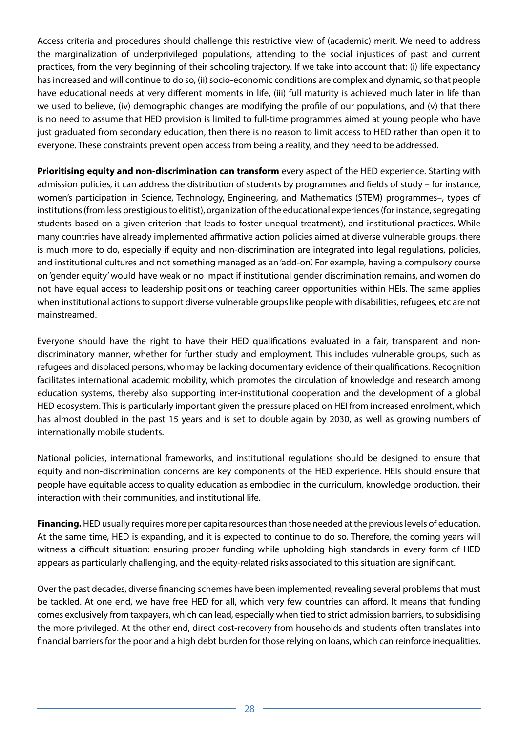Access criteria and procedures should challenge this restrictive view of (academic) merit. We need to address the marginalization of underprivileged populations, attending to the social injustices of past and current practices, from the very beginning of their schooling trajectory. If we take into account that: (i) life expectancy has increased and will continue to do so, (ii) socio-economic conditions are complex and dynamic, so that people have educational needs at very different moments in life, (iii) full maturity is achieved much later in life than we used to believe, (iv) demographic changes are modifying the profile of our populations, and (v) that there is no need to assume that HED provision is limited to full-time programmes aimed at young people who have just graduated from secondary education, then there is no reason to limit access to HED rather than open it to everyone. These constraints prevent open access from being a reality, and they need to be addressed.

**Prioritising equity and non-discrimination can transform** every aspect of the HED experience. Starting with admission policies, it can address the distribution of students by programmes and fields of study – for instance, women's participation in Science, Technology, Engineering, and Mathematics (STEM) programmes–, types of institutions (from less prestigious to elitist), organization of the educational experiences (for instance, segregating students based on a given criterion that leads to foster unequal treatment), and institutional practices. While many countries have already implemented affirmative action policies aimed at diverse vulnerable groups, there is much more to do, especially if equity and non-discrimination are integrated into legal regulations, policies, and institutional cultures and not something managed as an 'add-on'. For example, having a compulsory course on 'gender equity' would have weak or no impact if institutional gender discrimination remains, and women do not have equal access to leadership positions or teaching career opportunities within HEIs. The same applies when institutional actions to support diverse vulnerable groups like people with disabilities, refugees, etc are not mainstreamed.

Everyone should have the right to have their HED qualifications evaluated in a fair, transparent and nondiscriminatory manner, whether for further study and employment. This includes vulnerable groups, such as refugees and displaced persons, who may be lacking documentary evidence of their qualifications. Recognition facilitates international academic mobility, which promotes the circulation of knowledge and research among education systems, thereby also supporting inter-institutional cooperation and the development of a global HED ecosystem. This is particularly important given the pressure placed on HEI from increased enrolment, which has almost doubled in the past 15 years and is set to double again by 2030, as well as growing numbers of internationally mobile students.

National policies, international frameworks, and institutional regulations should be designed to ensure that equity and non-discrimination concerns are key components of the HED experience. HEIs should ensure that people have equitable access to quality education as embodied in the curriculum, knowledge production, their interaction with their communities, and institutional life.

**Financing.** HED usually requires more per capita resources than those needed at the previous levels of education. At the same time, HED is expanding, and it is expected to continue to do so. Therefore, the coming years will witness a difficult situation: ensuring proper funding while upholding high standards in every form of HED appears as particularly challenging, and the equity-related risks associated to this situation are significant.

Over the past decades, diverse financing schemes have been implemented, revealing several problems that must be tackled. At one end, we have free HED for all, which very few countries can afford. It means that funding comes exclusively from taxpayers, which can lead, especially when tied to strict admission barriers, to subsidising the more privileged. At the other end, direct cost-recovery from households and students often translates into financial barriers for the poor and a high debt burden for those relying on loans, which can reinforce inequalities.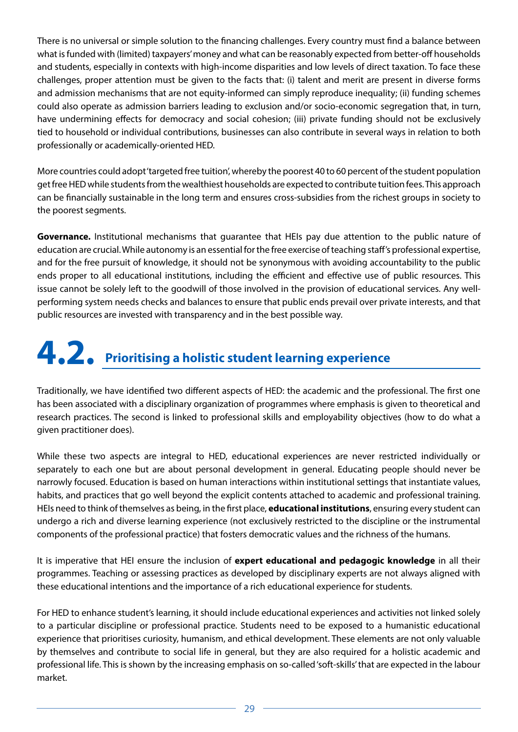<span id="page-28-0"></span>There is no universal or simple solution to the financing challenges. Every country must find a balance between what is funded with (limited) taxpayers' money and what can be reasonably expected from better-off households and students, especially in contexts with high-income disparities and low levels of direct taxation. To face these challenges, proper attention must be given to the facts that: (i) talent and merit are present in diverse forms and admission mechanisms that are not equity-informed can simply reproduce inequality; (ii) funding schemes could also operate as admission barriers leading to exclusion and/or socio-economic segregation that, in turn, have undermining effects for democracy and social cohesion; (iii) private funding should not be exclusively tied to household or individual contributions, businesses can also contribute in several ways in relation to both professionally or academically-oriented HED.

More countries could adopt 'targeted free tuition', whereby the poorest 40 to 60 percent of the student population get free HED while students from the wealthiest households are expected to contribute tuition fees. This approach can be financially sustainable in the long term and ensures cross-subsidies from the richest groups in society to the poorest segments.

**Governance.** Institutional mechanisms that guarantee that HEIs pay due attention to the public nature of education are crucial. While autonomy is an essential for the free exercise of teaching staff's professional expertise, and for the free pursuit of knowledge, it should not be synonymous with avoiding accountability to the public ends proper to all educational institutions, including the efficient and effective use of public resources. This issue cannot be solely left to the goodwill of those involved in the provision of educational services. Any wellperforming system needs checks and balances to ensure that public ends prevail over private interests, and that public resources are invested with transparency and in the best possible way.

# **4.2. Prioritising a holistic student learning experience**

Traditionally, we have identified two different aspects of HED: the academic and the professional. The first one has been associated with a disciplinary organization of programmes where emphasis is given to theoretical and research practices. The second is linked to professional skills and employability objectives (how to do what a given practitioner does).

While these two aspects are integral to HED, educational experiences are never restricted individually or separately to each one but are about personal development in general. Educating people should never be narrowly focused. Education is based on human interactions within institutional settings that instantiate values, habits, and practices that go well beyond the explicit contents attached to academic and professional training. HEIs need to think of themselves as being, in the first place, **educational institutions**, ensuring every student can undergo a rich and diverse learning experience (not exclusively restricted to the discipline or the instrumental components of the professional practice) that fosters democratic values and the richness of the humans.

It is imperative that HEI ensure the inclusion of **expert educational and pedagogic knowledge** in all their programmes. Teaching or assessing practices as developed by disciplinary experts are not always aligned with these educational intentions and the importance of a rich educational experience for students.

For HED to enhance student's learning, it should include educational experiences and activities not linked solely to a particular discipline or professional practice. Students need to be exposed to a humanistic educational experience that prioritises curiosity, humanism, and ethical development. These elements are not only valuable by themselves and contribute to social life in general, but they are also required for a holistic academic and professional life. This is shown by the increasing emphasis on so-called 'soft-skills' that are expected in the labour market.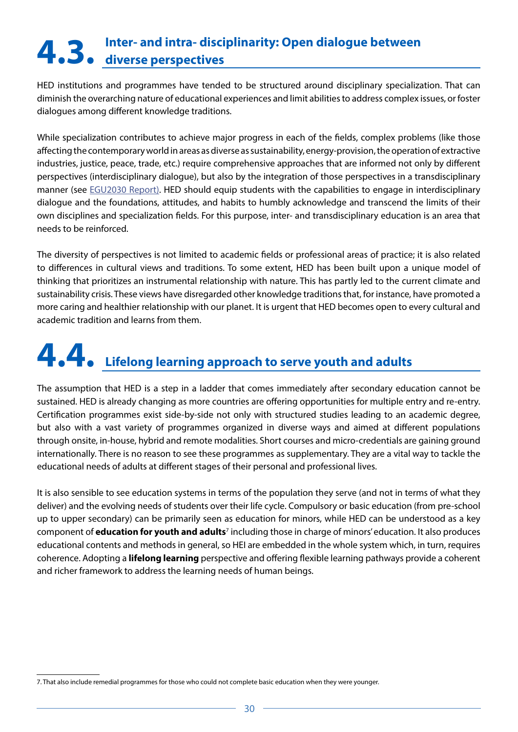# <span id="page-29-0"></span>**Inter- and intra- disciplinarity: Open dialogue between 4.3. diverse perspectives**

HED institutions and programmes have tended to be structured around disciplinary specialization. That can diminish the overarching nature of educational experiences and limit abilities to address complex issues, or foster dialogues among different knowledge traditions.

While specialization contributes to achieve major progress in each of the fields, complex problems (like those affecting the contemporary world in areas as diverse as sustainability, energy-provision, the operation of extractive industries, justice, peace, trade, etc.) require comprehensive approaches that are informed not only by different perspectives (interdisciplinary dialogue), but also by the integration of those perspectives in a transdisciplinary manner (see [EGU2030 Report\).](https://unesdoc.unesco.org/ark:/48223/pf0000380519) HED should equip students with the capabilities to engage in interdisciplinary dialogue and the foundations, attitudes, and habits to humbly acknowledge and transcend the limits of their own disciplines and specialization fields. For this purpose, inter- and transdisciplinary education is an area that needs to be reinforced.

The diversity of perspectives is not limited to academic fields or professional areas of practice; it is also related to differences in cultural views and traditions. To some extent, HED has been built upon a unique model of thinking that prioritizes an instrumental relationship with nature. This has partly led to the current climate and sustainability crisis. These views have disregarded other knowledge traditions that, for instance, have promoted a more caring and healthier relationship with our planet. It is urgent that HED becomes open to every cultural and academic tradition and learns from them.

# **4.4. Lifelong learning approach to serve youth and adults**

The assumption that HED is a step in a ladder that comes immediately after secondary education cannot be sustained. HED is already changing as more countries are offering opportunities for multiple entry and re-entry. Certification programmes exist side-by-side not only with structured studies leading to an academic degree, but also with a vast variety of programmes organized in diverse ways and aimed at different populations through onsite, in-house, hybrid and remote modalities. Short courses and micro-credentials are gaining ground internationally. There is no reason to see these programmes as supplementary. They are a vital way to tackle the educational needs of adults at different stages of their personal and professional lives.

It is also sensible to see education systems in terms of the population they serve (and not in terms of what they deliver) and the evolving needs of students over their life cycle. Compulsory or basic education (from pre-school up to upper secondary) can be primarily seen as education for minors, while HED can be understood as a key component of **education for youth and adults**<sup>7</sup> including those in charge of minors' education. It also produces educational contents and methods in general, so HEI are embedded in the whole system which, in turn, requires coherence. Adopting a **lifelong learning** perspective and offering flexible learning pathways provide a coherent and richer framework to address the learning needs of human beings.

<sup>7.</sup> That also include remedial programmes for those who could not complete basic education when they were younger.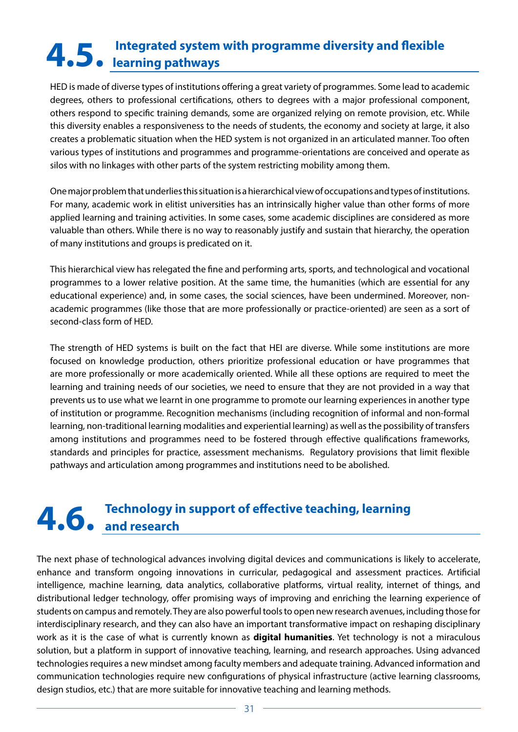# <span id="page-30-0"></span> **Integrated system with programme diversity and flexible 4.5. learning pathways**

HED is made of diverse types of institutions offering a great variety of programmes. Some lead to academic degrees, others to professional certifications, others to degrees with a major professional component, others respond to specific training demands, some are organized relying on remote provision, etc. While this diversity enables a responsiveness to the needs of students, the economy and society at large, it also creates a problematic situation when the HED system is not organized in an articulated manner. Too often various types of institutions and programmes and programme-orientations are conceived and operate as silos with no linkages with other parts of the system restricting mobility among them.

One major problem that underlies this situation is a hierarchical view of occupations and types of institutions. For many, academic work in elitist universities has an intrinsically higher value than other forms of more applied learning and training activities. In some cases, some academic disciplines are considered as more valuable than others. While there is no way to reasonably justify and sustain that hierarchy, the operation of many institutions and groups is predicated on it.

This hierarchical view has relegated the fine and performing arts, sports, and technological and vocational programmes to a lower relative position. At the same time, the humanities (which are essential for any educational experience) and, in some cases, the social sciences, have been undermined. Moreover, nonacademic programmes (like those that are more professionally or practice-oriented) are seen as a sort of second-class form of HED.

The strength of HED systems is built on the fact that HEI are diverse. While some institutions are more focused on knowledge production, others prioritize professional education or have programmes that are more professionally or more academically oriented. While all these options are required to meet the learning and training needs of our societies, we need to ensure that they are not provided in a way that prevents us to use what we learnt in one programme to promote our learning experiences in another type of institution or programme. Recognition mechanisms (including recognition of informal and non-formal learning, non-traditional learning modalities and experiential learning) as well as the possibility of transfers among institutions and programmes need to be fostered through effective qualifications frameworks, standards and principles for practice, assessment mechanisms. Regulatory provisions that limit flexible pathways and articulation among programmes and institutions need to be abolished.

# **Technology in support of effective teaching, learning 4.6. and research**

The next phase of technological advances involving digital devices and communications is likely to accelerate, enhance and transform ongoing innovations in curricular, pedagogical and assessment practices. Artificial intelligence, machine learning, data analytics, collaborative platforms, virtual reality, internet of things, and distributional ledger technology, offer promising ways of improving and enriching the learning experience of students on campus and remotely. They are also powerful tools to open new research avenues, including those for interdisciplinary research, and they can also have an important transformative impact on reshaping disciplinary work as it is the case of what is currently known as **digital humanities**. Yet technology is not a miraculous solution, but a platform in support of innovative teaching, learning, and research approaches. Using advanced technologies requires a new mindset among faculty members and adequate training. Advanced information and communication technologies require new configurations of physical infrastructure (active learning classrooms, design studios, etc.) that are more suitable for innovative teaching and learning methods.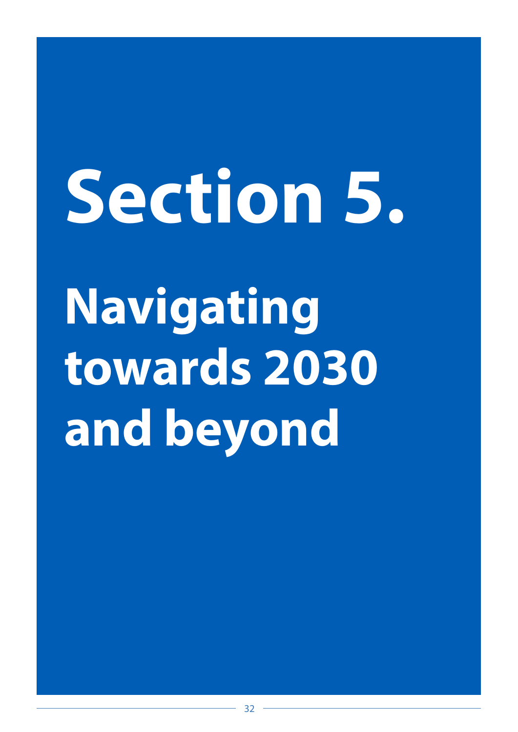# <span id="page-31-0"></span>**Navigating towards 2030 and beyond Section 5.**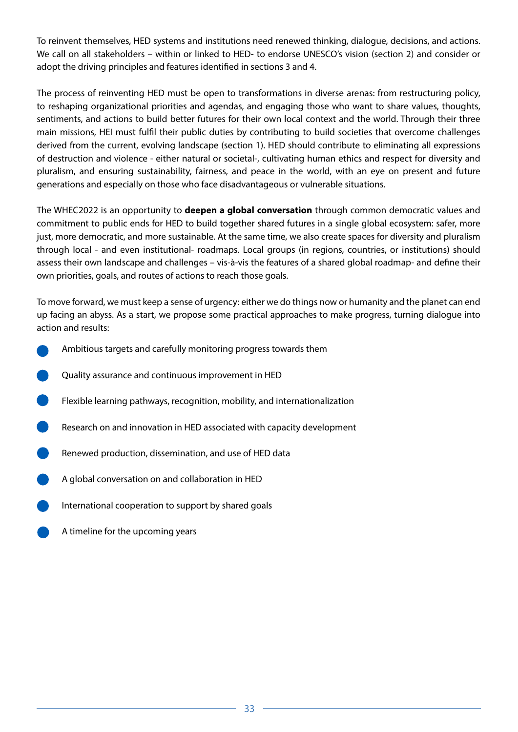To reinvent themselves, HED systems and institutions need renewed thinking, dialogue, decisions, and actions. We call on all stakeholders – within or linked to HED- to endorse UNESCO's vision (section 2) and consider or adopt the driving principles and features identified in sections 3 and 4.

The process of reinventing HED must be open to transformations in diverse arenas: from restructuring policy, to reshaping organizational priorities and agendas, and engaging those who want to share values, thoughts, sentiments, and actions to build better futures for their own local context and the world. Through their three main missions, HEI must fulfil their public duties by contributing to build societies that overcome challenges derived from the current, evolving landscape (section 1). HED should contribute to eliminating all expressions of destruction and violence - either natural or societal-, cultivating human ethics and respect for diversity and pluralism, and ensuring sustainability, fairness, and peace in the world, with an eye on present and future generations and especially on those who face disadvantageous or vulnerable situations.

The WHEC2022 is an opportunity to **deepen a global conversation** through common democratic values and commitment to public ends for HED to build together shared futures in a single global ecosystem: safer, more just, more democratic, and more sustainable. At the same time, we also create spaces for diversity and pluralism through local - and even institutional- roadmaps. Local groups (in regions, countries, or institutions) should assess their own landscape and challenges – vis-à-vis the features of a shared global roadmap- and define their own priorities, goals, and routes of actions to reach those goals.

To move forward, we must keep a sense of urgency: either we do things now or humanity and the planet can end up facing an abyss. As a start, we propose some practical approaches to make progress, turning dialogue into action and results:

- Ambitious targets and carefully monitoring progress towards them
- Quality assurance and continuous improvement in HED
- Flexible learning pathways, recognition, mobility, and internationalization
- Research on and innovation in HED associated with capacity development
- Renewed production, dissemination, and use of HED data
- A global conversation on and collaboration in HED
- International cooperation to support by shared goals
- A timeline for the upcoming years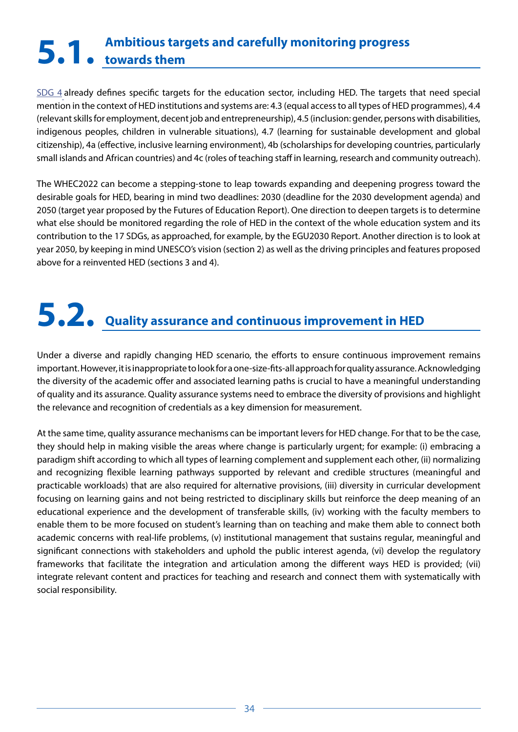## <span id="page-33-0"></span>**Ambitious targets and carefully monitoring progress 5.1. towards them**

[SDG 4](https://sdgs.un.org/goals/goal4) already defines specific targets for the education sector, including HED. The targets that need special mention in the context of HED institutions and systems are: 4.3 (equal access to all types of HED programmes), 4.4 (relevant skills for employment, decent job and entrepreneurship), 4.5 (inclusion: gender, persons with disabilities, indigenous peoples, children in vulnerable situations), 4.7 (learning for sustainable development and global citizenship), 4a (effective, inclusive learning environment), 4b (scholarships for developing countries, particularly small islands and African countries) and 4c (roles of teaching staff in learning, research and community outreach).

The WHEC2022 can become a stepping-stone to leap towards expanding and deepening progress toward the desirable goals for HED, bearing in mind two deadlines: 2030 (deadline for the 2030 development agenda) and 2050 (target year proposed by the Futures of Education Report). One direction to deepen targets is to determine what else should be monitored regarding the role of HED in the context of the whole education system and its contribution to the 17 SDGs, as approached, for example, by the EGU2030 Report. Another direction is to look at year 2050, by keeping in mind UNESCO's vision (section 2) as well as the driving principles and features proposed above for a reinvented HED (sections 3 and 4).

# **5.2. Quality assurance and continuous improvement in HED**

Under a diverse and rapidly changing HED scenario, the efforts to ensure continuous improvement remains important. However, it is inappropriate to look for a one-size-fits-all approach for quality assurance. Acknowledging the diversity of the academic offer and associated learning paths is crucial to have a meaningful understanding of quality and its assurance. Quality assurance systems need to embrace the diversity of provisions and highlight the relevance and recognition of credentials as a key dimension for measurement.

At the same time, quality assurance mechanisms can be important levers for HED change. For that to be the case, they should help in making visible the areas where change is particularly urgent; for example: (i) embracing a paradigm shift according to which all types of learning complement and supplement each other, (ii) normalizing and recognizing flexible learning pathways supported by relevant and credible structures (meaningful and practicable workloads) that are also required for alternative provisions, (iii) diversity in curricular development focusing on learning gains and not being restricted to disciplinary skills but reinforce the deep meaning of an educational experience and the development of transferable skills, (iv) working with the faculty members to enable them to be more focused on student's learning than on teaching and make them able to connect both academic concerns with real-life problems, (v) institutional management that sustains regular, meaningful and significant connections with stakeholders and uphold the public interest agenda, (vi) develop the regulatory frameworks that facilitate the integration and articulation among the different ways HED is provided; (vii) integrate relevant content and practices for teaching and research and connect them with systematically with social responsibility.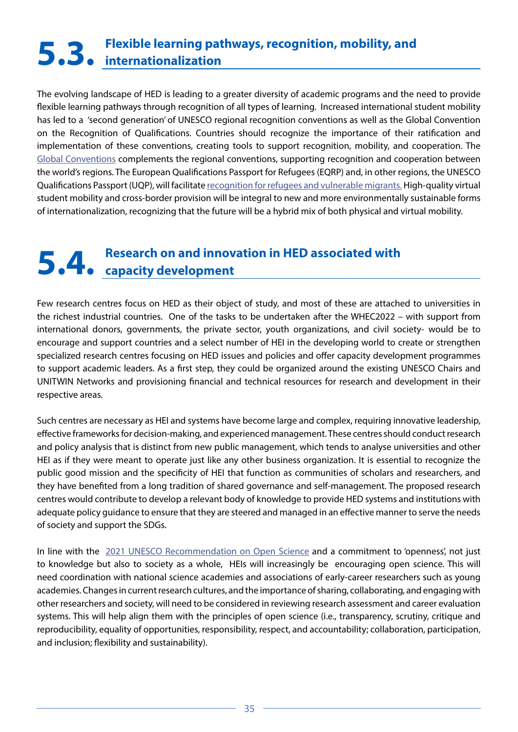# <span id="page-34-0"></span>**Flexible learning pathways, recognition, mobility, and 5.3. internationalization**

The evolving landscape of HED is leading to a greater diversity of academic programs and the need to provide flexible learning pathways through recognition of all types of learning. Increased international student mobility has led to a 'second generation' of UNESCO regional recognition conventions as well as the Global Convention on the Recognition of Qualifications. Countries should recognize the importance of their ratification and implementation of these conventions, creating tools to support recognition, mobility, and cooperation. The [Global Conventions](https://www.unesco.org/en/education/higher-education/global-convention) complements the regional conventions, supporting recognition and cooperation between the world's regions. The European Qualifications Passport for Refugees (EQRP) and, in other regions, the UNESCO Qualifications Passport (UQP), will facilitate [recognition for refugees and vulnerable migrants.](https://www.unesco.org/en/education/higher-education/qualifications-passport) High-quality virtual student mobility and cross-border provision will be integral to new and more environmentally sustainable forms of internationalization, recognizing that the future will be a hybrid mix of both physical and virtual mobility.

# **Research on and innovation in HED associated with 5.4. capacity development**

Few research centres focus on HED as their object of study, and most of these are attached to universities in the richest industrial countries. One of the tasks to be undertaken after the WHEC2022 – with support from international donors, governments, the private sector, youth organizations, and civil society- would be to encourage and support countries and a select number of HEI in the developing world to create or strengthen specialized research centres focusing on HED issues and policies and offer capacity development programmes to support academic leaders. As a first step, they could be organized around the existing UNESCO Chairs and UNITWIN Networks and provisioning financial and technical resources for research and development in their respective areas.

Such centres are necessary as HEI and systems have become large and complex, requiring innovative leadership, effective frameworks for decision-making, and experienced management. These centres should conduct research and policy analysis that is distinct from new public management, which tends to analyse universities and other HEI as if they were meant to operate just like any other business organization. It is essential to recognize the public good mission and the specificity of HEI that function as communities of scholars and researchers, and they have benefited from a long tradition of shared governance and self-management. The proposed research centres would contribute to develop a relevant body of knowledge to provide HED systems and institutions with adequate policy guidance to ensure that they are steered and managed in an effective manner to serve the needs of society and support the SDGs.

In line with the [2021 UNESCO Recommendation on Open Science](https://unesdoc.unesco.org/ark:/48223/pf0000379949.locale=en) and a commitment to 'openness', not just to knowledge but also to society as a whole, HEIs will increasingly be encouraging open science. This will need coordination with national science academies and associations of early-career researchers such as young academies. Changes in current research cultures, and the importance of sharing, collaborating, and engaging with other researchers and society, will need to be considered in reviewing research assessment and career evaluation systems. This will help align them with the principles of open science (i.e., transparency, scrutiny, critique and reproducibility, equality of opportunities, responsibility, respect, and accountability; collaboration, participation, and inclusion; flexibility and sustainability).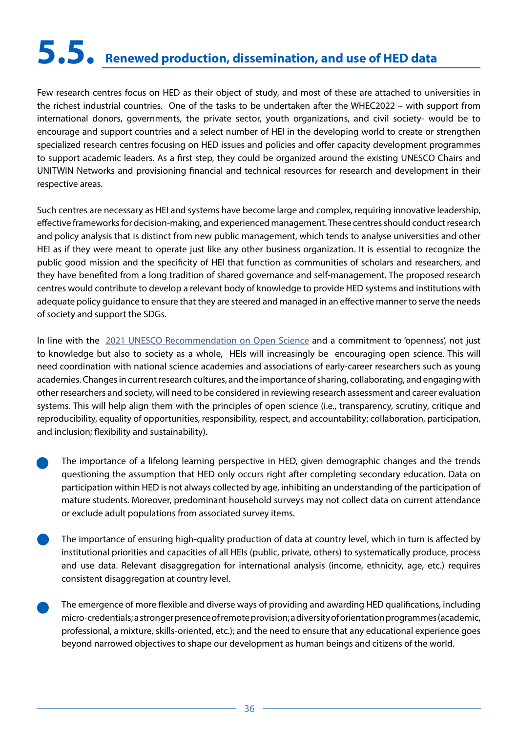# <span id="page-35-0"></span>**5.5. Renewed production, dissemination, and use of HED data**

Few research centres focus on HED as their object of study, and most of these are attached to universities in the richest industrial countries. One of the tasks to be undertaken after the WHEC2022 – with support from international donors, governments, the private sector, youth organizations, and civil society- would be to encourage and support countries and a select number of HEI in the developing world to create or strengthen specialized research centres focusing on HED issues and policies and offer capacity development programmes to support academic leaders. As a first step, they could be organized around the existing UNESCO Chairs and UNITWIN Networks and provisioning financial and technical resources for research and development in their respective areas.

Such centres are necessary as HEI and systems have become large and complex, requiring innovative leadership, effective frameworks for decision-making, and experienced management. These centres should conduct research and policy analysis that is distinct from new public management, which tends to analyse universities and other HEI as if they were meant to operate just like any other business organization. It is essential to recognize the public good mission and the specificity of HEI that function as communities of scholars and researchers, and they have benefited from a long tradition of shared governance and self-management. The proposed research centres would contribute to develop a relevant body of knowledge to provide HED systems and institutions with adequate policy guidance to ensure that they are steered and managed in an effective manner to serve the needs of society and support the SDGs.

In line with the [2021 UNESCO Recommendation on Open Science](https://unesdoc.unesco.org/ark:/48223/pf0000379949.locale=en) and a commitment to 'openness', not just to knowledge but also to society as a whole, HEIs will increasingly be encouraging open science. This will need coordination with national science academies and associations of early-career researchers such as young academies. Changes in current research cultures, and the importance of sharing, collaborating, and engaging with other researchers and society, will need to be considered in reviewing research assessment and career evaluation systems. This will help align them with the principles of open science (i.e., transparency, scrutiny, critique and reproducibility, equality of opportunities, responsibility, respect, and accountability; collaboration, participation, and inclusion; flexibility and sustainability).

- The importance of a lifelong learning perspective in HED, given demographic changes and the trends questioning the assumption that HED only occurs right after completing secondary education. Data on participation within HED is not always collected by age, inhibiting an understanding of the participation of mature students. Moreover, predominant household surveys may not collect data on current attendance or exclude adult populations from associated survey items.
- The importance of ensuring high-quality production of data at country level, which in turn is affected by institutional priorities and capacities of all HEIs (public, private, others) to systematically produce, process and use data. Relevant disaggregation for international analysis (income, ethnicity, age, etc.) requires consistent disaggregation at country level.
- The emergence of more flexible and diverse ways of providing and awarding HED qualifications, including micro-credentials; a stronger presence of remote provision; a diversity of orientation programmes (academic, professional, a mixture, skills-oriented, etc.); and the need to ensure that any educational experience goes beyond narrowed objectives to shape our development as human beings and citizens of the world.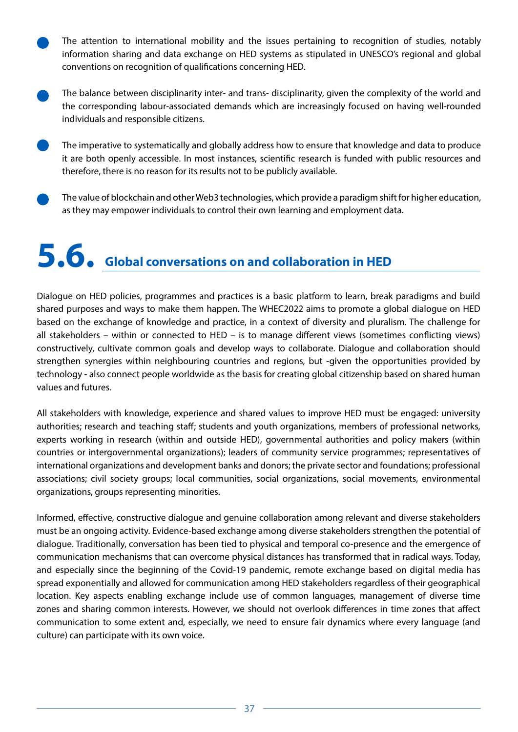- <span id="page-36-0"></span>The attention to international mobility and the issues pertaining to recognition of studies, notably information sharing and data exchange on HED systems as stipulated in UNESCO's regional and global conventions on recognition of qualifications concerning HED.
- The balance between disciplinarity inter- and trans- disciplinarity, given the complexity of the world and the corresponding labour-associated demands which are increasingly focused on having well-rounded individuals and responsible citizens.
- The imperative to systematically and globally address how to ensure that knowledge and data to produce it are both openly accessible. In most instances, scientific research is funded with public resources and therefore, there is no reason for its results not to be publicly available.
- The value of blockchain and other Web3 technologies, which provide a paradigm shift for higher education, as they may empower individuals to control their own learning and employment data.

# **5.6. Global conversations on and collaboration in HED**

Dialogue on HED policies, programmes and practices is a basic platform to learn, break paradigms and build shared purposes and ways to make them happen. The WHEC2022 aims to promote a global dialogue on HED based on the exchange of knowledge and practice, in a context of diversity and pluralism. The challenge for all stakeholders – within or connected to HED – is to manage different views (sometimes conflicting views) constructively, cultivate common goals and develop ways to collaborate. Dialogue and collaboration should strengthen synergies within neighbouring countries and regions, but -given the opportunities provided by technology - also connect people worldwide as the basis for creating global citizenship based on shared human values and futures.

All stakeholders with knowledge, experience and shared values to improve HED must be engaged: university authorities; research and teaching staff; students and youth organizations, members of professional networks, experts working in research (within and outside HED), governmental authorities and policy makers (within countries or intergovernmental organizations); leaders of community service programmes; representatives of international organizations and development banks and donors; the private sector and foundations; professional associations; civil society groups; local communities, social organizations, social movements, environmental organizations, groups representing minorities.

Informed, effective, constructive dialogue and genuine collaboration among relevant and diverse stakeholders must be an ongoing activity. Evidence-based exchange among diverse stakeholders strengthen the potential of dialogue. Traditionally, conversation has been tied to physical and temporal co-presence and the emergence of communication mechanisms that can overcome physical distances has transformed that in radical ways. Today, and especially since the beginning of the Covid-19 pandemic, remote exchange based on digital media has spread exponentially and allowed for communication among HED stakeholders regardless of their geographical location. Key aspects enabling exchange include use of common languages, management of diverse time zones and sharing common interests. However, we should not overlook differences in time zones that affect communication to some extent and, especially, we need to ensure fair dynamics where every language (and culture) can participate with its own voice.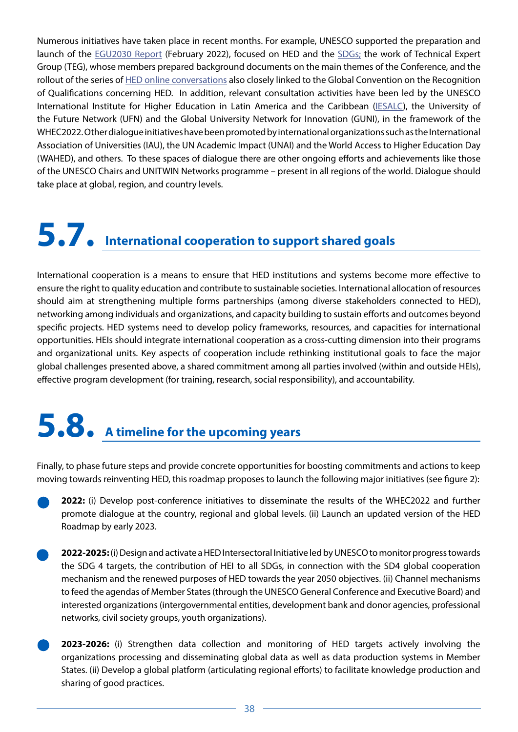<span id="page-37-0"></span>Numerous initiatives have taken place in recent months. For example, UNESCO supported the preparation and launch of the **[EGU2030 Report](https://unesdoc.unesco.org/ark:/48223/pf0000380519)** (February 2022), focused on HED and the **SDGs**; the work of Technical Expert Group (TEG), whose members prepared background documents on the main themes of the Conference, and the rollout of the series of [HED online conversations](https://www.unesco.org/en/education/higher-education/conversations) also closely linked to the Global Convention on the Recognition of Qualifications concerning HED. In addition, relevant consultation activities have been led by the UNESCO International Institute for Higher Education in Latin America and the Caribbean ([IESALC](https://www.iesalc.unesco.org/en/)), the University of the Future Network (UFN) and the Global University Network for Innovation (GUNI), in the framework of the WHEC2022. Other dialogue initiatives have been promoted by international organizations such as the International Association of Universities (IAU), the UN Academic Impact (UNAI) and the World Access to Higher Education Day (WAHED), and others. To these spaces of dialogue there are other ongoing efforts and achievements like those of the UNESCO Chairs and UNITWIN Networks programme – present in all regions of the world. Dialogue should take place at global, region, and country levels.

## **5.7. International cooperation to support shared goals**

International cooperation is a means to ensure that HED institutions and systems become more effective to ensure the right to quality education and contribute to sustainable societies. International allocation of resources should aim at strengthening multiple forms partnerships (among diverse stakeholders connected to HED), networking among individuals and organizations, and capacity building to sustain efforts and outcomes beyond specific projects. HED systems need to develop policy frameworks, resources, and capacities for international opportunities. HEIs should integrate international cooperation as a cross-cutting dimension into their programs and organizational units. Key aspects of cooperation include rethinking institutional goals to face the major global challenges presented above, a shared commitment among all parties involved (within and outside HEIs), effective program development (for training, research, social responsibility), and accountability.

# **5.8. A timeline for the upcoming years**

Finally, to phase future steps and provide concrete opportunities for boosting commitments and actions to keep moving towards reinventing HED, this roadmap proposes to launch the following major initiatives (see figure 2):

**2022:** (i) Develop post-conference initiatives to disseminate the results of the WHEC2022 and further promote dialogue at the country, regional and global levels. (ii) Launch an updated version of the HED Roadmap by early 2023.

- **2022-2025:** (i) Design and activate a HED Intersectoral Initiative led by UNESCO to monitor progress towards the SDG 4 targets, the contribution of HEI to all SDGs, in connection with the SD4 global cooperation mechanism and the renewed purposes of HED towards the year 2050 objectives. (ii) Channel mechanisms to feed the agendas of Member States (through the UNESCO General Conference and Executive Board) and interested organizations (intergovernmental entities, development bank and donor agencies, professional networks, civil society groups, youth organizations).
- **2023-2026:** (i) Strengthen data collection and monitoring of HED targets actively involving the organizations processing and disseminating global data as well as data production systems in Member States. (ii) Develop a global platform (articulating regional efforts) to facilitate knowledge production and sharing of good practices.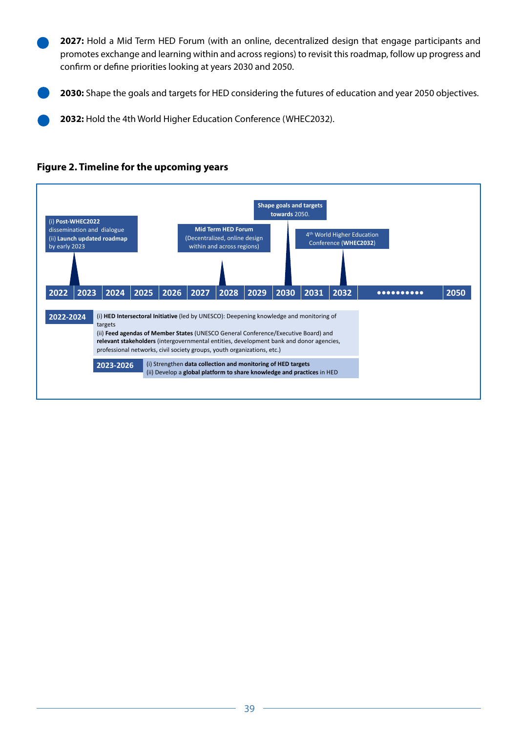**2027:** Hold a Mid Term HED Forum (with an online, decentralized design that engage participants and promotes exchange and learning within and across regions) to revisit this roadmap, follow up progress and confirm or define priorities looking at years 2030 and 2050.

**2030:** Shape the goals and targets for HED considering the futures of education and year 2050 objectives.

**2032:** Hold the 4th World Higher Education Conference (WHEC2032).



#### **Figure 2. Timeline for the upcoming years**